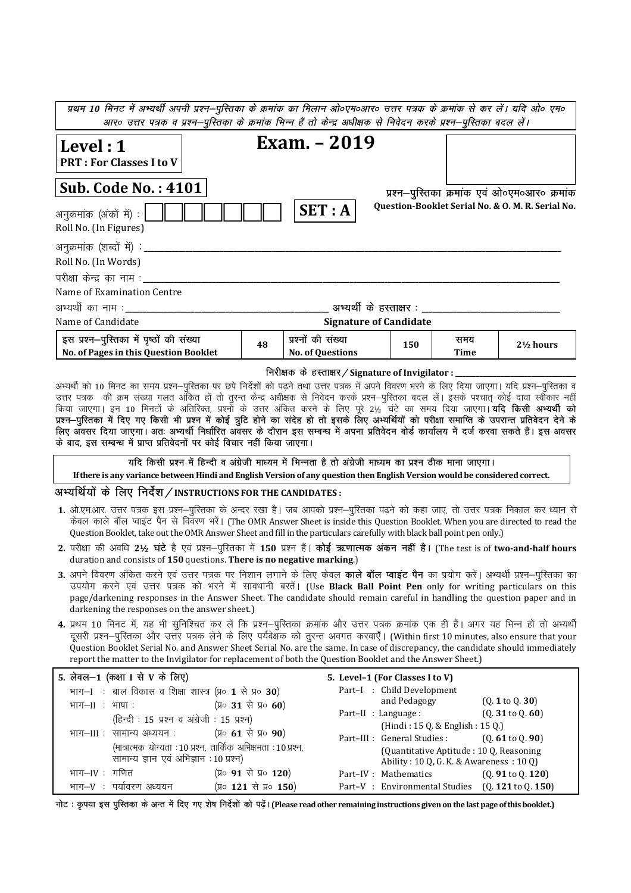| प्रथम 10 मिनट में अभ्यर्थी अपनी प्रश्न–पुस्तिका के क्रमांक का मिलान ओ०एम०आर० उत्तर पत्रक के क्रमांक से कर लें। यदि ओ० एम० |    |                                                      |     |             |                                                   |
|---------------------------------------------------------------------------------------------------------------------------|----|------------------------------------------------------|-----|-------------|---------------------------------------------------|
| आर० उत्तर पत्रक व प्रश्न–पुस्तिका के क्रमांक भिन्न हैं तो केन्द्र अधीक्षक से निवेदन करके प्रश्न–पुस्तिका बदल लें।         |    |                                                      |     |             |                                                   |
| $\vert$ Level : 1<br><b>PRT: For Classes I to V</b>                                                                       |    | Exam. – 2019                                         |     |             |                                                   |
| <b>Sub. Code No.: 4101</b>                                                                                                |    |                                                      |     |             | प्रश्न-पुरितका क्रमांक एवं ओ०एम०आर० क्रमांक       |
| अनुक्रमांक (अंकों में) :  <br>Roll No. (In Figures)                                                                       |    | SET: A                                               |     |             | Question-Booklet Serial No. & O. M. R. Serial No. |
| अनुक्रमांक (शब्दों में) : _______                                                                                         |    |                                                      |     |             |                                                   |
| Roll No. (In Words)                                                                                                       |    |                                                      |     |             |                                                   |
| परीक्षा केन्द्र का नाम :                                                                                                  |    |                                                      |     |             |                                                   |
| Name of Examination Centre                                                                                                |    |                                                      |     |             |                                                   |
| अभ्यर्थी का नाम :__________                                                                                               |    | अभ्यर्थी के हस्ताक्षर :                              |     |             |                                                   |
| Name of Candidate                                                                                                         |    | <b>Signature of Candidate</b>                        |     |             |                                                   |
| इस प्रश्न–पुरितका में पृष्ठों की संख्या<br>No. of Pages in this Question Booklet                                          | 48 | प्रश्नों की संख्या<br><b>No. of Questions</b>        | 150 | समय<br>Time | $2\frac{1}{2}$ hours                              |
|                                                                                                                           |    | निरीक्षक के हस्ताक्षर / Signature of Invigilator : _ |     |             |                                                   |

अभ्यर्थी को 10 मिनट का समय प्रश्न—पुरितका पर छपे निर्देशों को पढ़ने तथा उत्तर पत्रक में अपने विवरण भरने के लिए दिया जाएगा। यदि प्रश्न—पुरितका व उत्तर पत्रक) की क्रम संख्या गलत अँकित हों तो तुरन्त केन्द्र अधीक्षक से निवेदन करके प्रश्न—पुस्तिका बदल लें। इसके पश्चात् कोई दावा स्वींकार नहीं किया जाएगा। इन 10 मिनटों के अतिरिक्त, प्रश्नों के उत्तर अंकित करने के लिए पूरे 2½ घंटे का समय दिया जाएगा। यदि किसी अभ्यर्थी को प्रश्न—पुस्तिका में दिए गए किसी भी प्रश्न में कोई त्रुटि होने का संदेह हो तो इसके लिए अभ्यर्थियों को परीक्षा समाप्ति के उपरान्त प्रतिवेदन देने के लिए अवसर दिया जाएगा। अतः अभ्यर्थी निर्धारित अवसर के दौरान इस सम्बन्ध में अपना प्रतिवेदन बोर्ड कार्यालय में दर्ज करवा सकते हैं। इस अवसर के बाद, इस सम्बन्ध में प्राप्त प्रतिवेदनों पर कोई विचार नहीं किया जाएगा।

यदि किसी प्रश्न में हिन्दी व अंग्रेजी माध्यम में भिन्नता है तो अंग्रेजी माध्यम का प्रश्न ठीक माना जाएगा।

If there is any variance between Hindi and English Version of any question then English Version would be considered correct.

### अभ्यर्थियों के लिए निर्देश / INSTRUCTIONS FOR THE CANDIDATES:

- 1. ओ.एम.आर. उत्तर पत्रक इस प्रश्न–पुस्तिका के अन्दर रखा है। जब आपको प्रश्न–पुस्तिका पढ़ने को कहा जाए, तो उत्तर पत्रक निकाल कर ध्यान से केवल काले बॉल प्वाइंट पैन से विवरण भरें। (The OMR Answer Sheet is inside this Ouestion Booklet. When you are directed to read the Ouestion Booklet, take out the OMR Answer Sheet and fill in the particulars carefully with black ball point pen only.)
- 2. परीक्षा की अवधि 2½ घंटे है एवं प्रश्न-पुरितका में 150 प्रश्न हैं। कोई ऋणात्मक अंकन नहीं है। (The test is of two-and-half hours duration and consists of 150 questions. There is no negative marking.)
- 3. अपने विवरण अंकित करने एवं उत्तर पत्रक पर निशान लगाने के लिए केवल **काले बॉल प्वाइंट पैन** का प्रयोग करें। अभ्यर्थी प्रश्न–परितका का उपयोग करने एवं उत्तर पत्रक को भरने में सावधानी बरतें। (Use Black Ball Point Pen only for writing particulars on this page/darkening responses in the Answer Sheet. The candidate should remain careful in handling the question paper and in darkening the responses on the answer sheet.)
- 4. प्रथम 10 मिनट में, यह भी सुनिश्चित कर लें कि प्रश्न–पुरितका क्रमांक और उत्तर पत्रक क्रमांक एक ही हैं। अगर यह भिन्न हों तो अभ्यर्थी दूसरी प्रश्न-पुस्तिका और उत्तर पत्रक लेने के लिए पर्यवेक्षक को तूरन्त अवगत करवाएँ। (Within first 10 minutes, also ensure that your Question Booklet Serial No. and Answer Sheet Serial No. are the same. In case of discrepancy, the candidate should immediately report the matter to the Invigilator for replacement of both the Question Booklet and the Answer Sheet.)

| 5. लेवल-1 (कक्षा I से V के लिए)                       |                                                                 | 5. Level-1 (For Classes I to V)                |                                         |
|-------------------------------------------------------|-----------------------------------------------------------------|------------------------------------------------|-----------------------------------------|
| भाग-I: बाल विकास व शिक्षा शास्त्र (प्र० 1 से प्र० 30) |                                                                 | Part-I : Child Development                     |                                         |
| भाग $-II$ : भाषा:                                     | (प्र० 31 से प्र० 60)                                            | and Pedagogy                                   | $(0.1 \text{ to } 0.30)$                |
| (हिन्दी : 15 प्रश्न व अंग्रेजी : 15 प्रश्न)           |                                                                 | Part-II : Language :                           | (Q. 31 to Q. 60)                        |
|                                                       |                                                                 | (Hindi: 15 Q. & English: 15 Q.)                |                                         |
| भाग–III : सामान्य अध्ययन :                            | (प्र० 61 से प्र० 90)                                            | Part-III : General Studies :                   | $(0.61 \text{ to } 0.90)$               |
|                                                       | (मात्रात्मक योग्यता : 10 प्रश्न, तार्किक अभिक्षमता : 10 प्रश्न, |                                                | (Quantitative Aptitude: 10 Q, Reasoning |
| सामान्य ज्ञान एवं अभिज्ञान : 10 प्रश्न)               |                                                                 |                                                | Ability: 10 Q, G. K. & Awareness: 10 Q) |
| भाग–IV : गणित                                         | (प्र० 91 से प्र० 120)                                           | Part-IV : Mathematics                          | $(0.91 \text{ to } 0.120)$              |
| भाग $-V$ :<br>पर्यावरण अध्ययन                         | (प्र० 121 से प्र० 150)                                          | Part-V: Environmental Studies (0.121 to 0.150) |                                         |

नोट : कृपया इस पुस्तिका के अन्त में दिए गए शेष निर्देशों को पढ़ें। (Please read other remaining instructions given on the last page of this booklet.)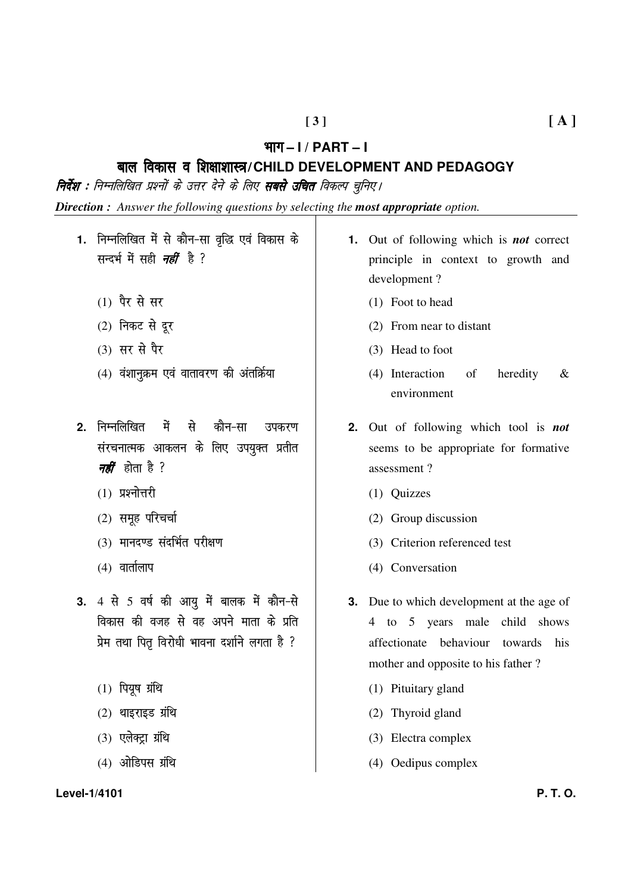#### Hkkx **– I / PART – I**

# cky fodkl o f'k{kk'kkL=**/CHILD DEVELOPMENT AND PEDAGOGY**

**निर्देश :** निम्नलिखित प्रश्नों के उत्तर देने के लिए **सबसे उचित** विकल्प चुनिए l

*Direction : Answer the following questions by selecting the most appropriate option.* 

- 1. निम्नलिखित में से कौन-सा वृद्धि एवं विकास के सन्दर्भ में सही *नहीं* है ?
	- $(1)$  पैर से सर
	- $(2)$  निकट से दूर
	- $(3)$  सर से पैर
	- $(4)$  वंशानुक्रम एवं वातावरण की अंतर्किया
- 2. निम्नलिखित में से कौन-सा उपकरण संरचनात्मक आकलन के लिए उपयुक्त प्रतीत *नहीं* होता है ?
	- $(1)$  प्रश्नोत्तरी
	- $(2)$  समूह परिचर्चा
	- (3) मानदण्ड संदर्भित परीक्षण
	- $(4)$  वार्तालाप
- 3. 4 से 5 वर्ष की आयु में बालक में कौन-से विकास की वजह से वह अपने माता के प्रति प्रेम तथा पितृ विरोधी भावना दर्शाने लगता है ?
	- $(1)$  पियूष ग्रंथि
	- $(2)$  थाइराइड ग्रंथि
	- $(3)$  एलेक्ट्रा ग्रंथि
	- $(4)$  ओडिपस ग्रंथि

#### **Level-1/4101 P. T. O.**

- **1.** Out of following which is *not* correct principle in context to growth and development ?
	- (1) Foot to head
	- (2) From near to distant
	- (3) Head to foot
	- (4) Interaction of heredity & environment
- **2.** Out of following which tool is *not* seems to be appropriate for formative assessment ?
	- (1) Quizzes
	- (2) Group discussion
	- (3) Criterion referenced test
	- (4) Conversation
- **3.** Due to which development at the age of 4 to 5 years male child shows affectionate behaviour towards his mother and opposite to his father ?
	- (1) Pituitary gland
	- (2) Thyroid gland
	- (3) Electra complex
	- (4) Oedipus complex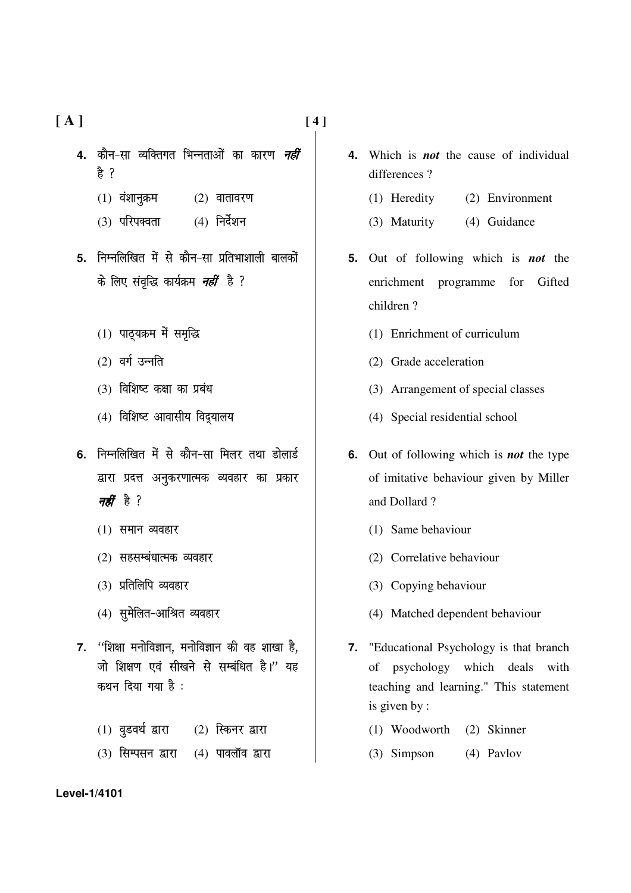**[ A ] [ 4 ]** 

- **4.** कौन-सा व्यक्तिगत भिन्नताओं का कारण *नहीं* हे ?
	- $(1)$  वंशानुक्रम  $(2)$  वातावरण
	- $(3)$  परिपक्वता  $(4)$  निर्देशन
- **5.** निम्नलिखित में से कौन-सा प्रतिभाशाली बालकों के लिए संवृद्धि कार्यक्रम *नहीं* है ?
	- $(1)$  पाठ्यक्रम में समृद्धि
	- $(2)$  वर्ग उन्नति
	- $(3)$  विशिष्ट कक्षा का प्रबंध
	- (4) विशिष्ट आवासीय विद्यालय
- 6. निम्नलिखित में से कौन-सा मिलर तथा डोलार्ड द्वारा प्रदत्त अनुकरणात्मक व्यवहार का प्रकार नहीं है ?
	- $(1)$  समान व्यवहार
	- $(2)$  सहसम्बंधात्मक व्यवहार
	- (3) प्रतिलिपि व्यवहार
	- (4) सुमेलित-आश्रित व्यवहार
- 7. <sup>''</sup>शिक्षा मनोविज्ञान, मनोविज्ञान की वह शाखा है, जो शिक्षण एवं सीखने से सम्बंधित है।" यह कथन दिया गया है:
	- $(1)$  वुडवर्थ द्वारा  $(2)$  स्किनर द्वारा
	- $(3)$  सिम्पसन द्वारा  $(4)$  पावलॉव द्वारा
- **4.** Which is *not* the cause of individual differences ?
	- (1) Heredity (2) Environment
	- (3) Maturity (4) Guidance
- **5.** Out of following which is *not* the enrichment programme for Gifted children ?
	- (1) Enrichment of curriculum
	- (2) Grade acceleration
	- (3) Arrangement of special classes
	- (4) Special residential school
- **6.** Out of following which is *not* the type of imitative behaviour given by Miller and Dollard ?
	- (1) Same behaviour
	- (2) Correlative behaviour
	- (3) Copying behaviour
	- (4) Matched dependent behaviour
- **7.** "Educational Psychology is that branch of psychology which deals with teaching and learning." This statement is given by :
	- (1) Woodworth (2) Skinner
	- (3) Simpson (4) Pavlov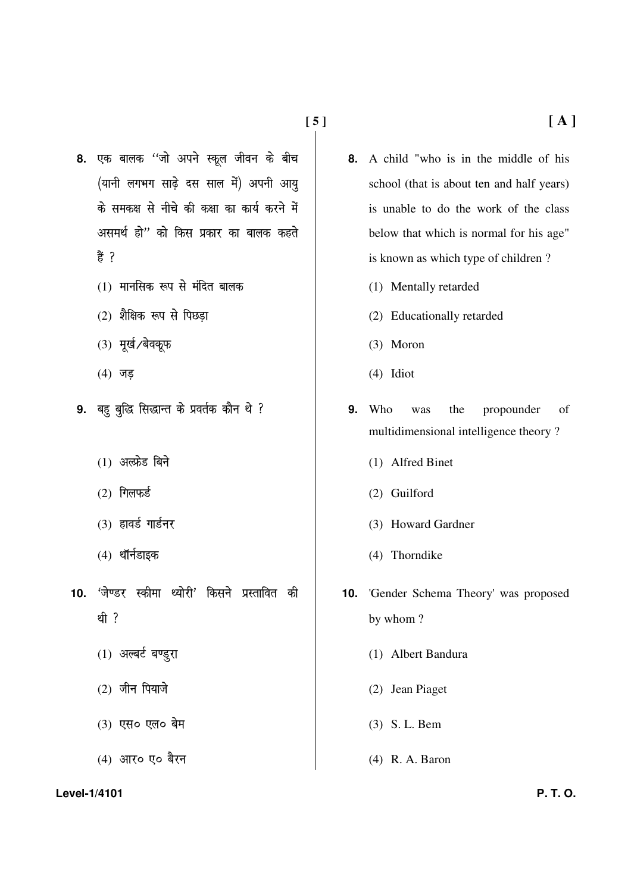- 8. एक बालक ''जो अपने स्कूल जीवन के बीच (यानी लगभग साढ़े दस साल में) अपनी आयु के समकक्ष से नीचे की कक्षा का कार्य करने में असमर्थ हो" को किस प्रकार का बालक कहते 흉 ?
	- $(1)$  मानसिक रूप से मंदित बालक
	- $(2)$  शैक्षिक रूप से पिछड़ा
	- $(3)$  मूर्ख/बेवकूफ
	- $(4)$  जड़
- 9. बहु बुद्धि सिद्धान्त के प्रवर्तक कौन थे ?
	- $(1)$  अल्फ्रेड बिने
	- $(2)$  गिलफर्ड
	- $(3)$  हावर्ड गार्डनर
	- $(4)$  थॉर्नडाइक
- 10. <sup>'जेण्डर स्कीमा थ्योरी' किसने प्रस्तावित की</sup> थी ?
	- $(1)$  अल्बर्ट बण्डुरा
	- $(2)$  जीन पियाजे
	- $(3)$  एस $\circ$  एल $\circ$  बेम
	- (4) आर**ं** ए० बैरन

#### **Level-1/4101 P. T. O.**

- **8.** A child "who is in the middle of his school (that is about ten and half years) is unable to do the work of the class below that which is normal for his age" is known as which type of children ?
	- (1) Mentally retarded
	- (2) Educationally retarded
	- (3) Moron
	- (4) Idiot
- **9.** Who was the propounder of multidimensional intelligence theory ?
	- (1) Alfred Binet
	- (2) Guilford
	- (3) Howard Gardner
	- (4) Thorndike
- **10.** 'Gender Schema Theory' was proposed by whom ?
	- (1) Albert Bandura
	- (2) Jean Piaget
	- (3) S. L. Bem
	- (4) R. A. Baron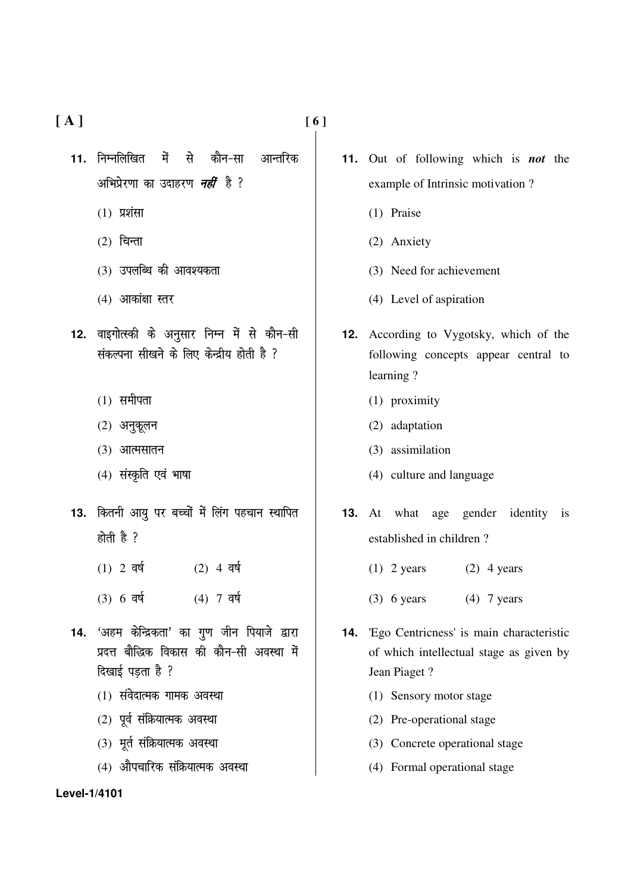$[A]$ 

11. निम्नलिखित ਸੇਂ से कौन–सा आन्तरिक अभिप्रेरणा का उदाहरण *नहीं* है ?

- $(1)$  प्रशंसा
- $(2)$  चिन्ता
- $(3)$  उपलब्धि की आवश्यकता
- $(4)$  आकांक्षा स्तर
- 12. वाइगोत्स्की के अनुसार निम्न में से कौन-सी संकल्पना सीखने के लिए केन्द्रीय होती है ?
	- $(1)$  समीपता
	- $(2)$  अनुकूलन
	- $(3)$  आत्मसातन
	- (4) संस्कृति एवं भाषा
- 13. कितनी आयु पर बच्चों में लिंग पहचान स्थापित होती है ?
	- $(1)$  2 वर्ष  $(2)$  4 वर्ष
	- $(3) 6 \overline{q}$  $(4)$  7 वर्ष
- 14. 'अहम केन्द्रिकता' का गुण जीन पियाजे द्वारा प्रदत्त बौद्धिक विकास की कौन-सी अवस्था में दिखाई पडता है ?
	- (1) संवेदात्मक गामक अवस्था
	- (2) पूर्व संक्रियात्मक अवस्था
	- (3) मूर्त संक्रियात्मक अवस्था
	- (4) औपचारिक संक्रियात्मक अवस्था

- 11. Out of following which is **not** the example of Intrinsic motivation?
	- (1) Praise
	- (2) Anxiety
	- (3) Need for achievement
	- (4) Level of aspiration
- **12.** According to Vygotsky, which of the following concepts appear central to learning?
	- (1) proximity
	- (2) adaptation
	- (3) assimilation
	- (4) culture and language
- **13.** At what age gender identity is established in children?
	- $(1)$  2 years  $(2)$  4 years
	- $(3)$  6 years  $(4)$  7 years
- 14. 'Ego Centricness' is main characteristic of which intellectual stage as given by Jean Piaget?
	- (1) Sensory motor stage
	- (2) Pre-operational stage
	- (3) Concrete operational stage
	- (4) Formal operational stage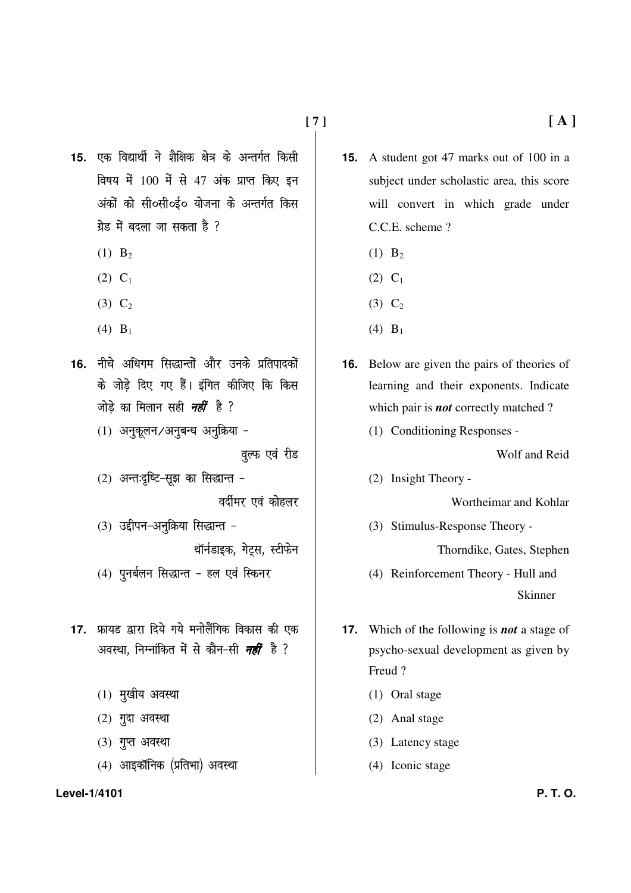15. एक विद्यार्थी ने शैक्षिक क्षेत्र के अन्तर्गत किसी विषय में 100 में से 47 अंक प्राप्त किए इन अंकों को सी०सी०ई० योजना के अन्तर्गत किस ग्रेड में बदला जा सकता है ?

- $(1)$  B<sub>2</sub>
- $(2)$  C<sub>1</sub>
- $(3)$  C<sub>2</sub>
- (4)  $B_1$
- 16. नीचे अधिगम सिद्धान्तों और उनके प्रतिपादकों के जोड़े दिए गए हैं। इंगित कीजिए कि किस जोडे का मिलान सही *नहीं* है ?
	- (1) अनुकूलन /अनुबन्ध अनुक्रिया -

वूल्फ एवं रीड

(2) अन्तःदृष्टि-सूझ का सिद्धान्त -

वर्दीमर एवं कोहलर

(3) उद्दीपन-अनुक्रिया सिद्धान्त -थॉर्नडाइक, गेट्स, स्टीफेन

- (4) पुनर्बलन सिद्धान्त हल एवं स्किनर
- 17. फ्रायड द्वारा दिये गये मनोलैंगिक विकास की एक अवस्था, निम्नांकित में से कौन-सी *नहीं* है ?
	- $(1)$  मुखीय अवस्था
	- $(2)$  गुदा अवस्था
	- $(3)$  गुप्त अवस्था
	- (4) आइकॉनिक (प्रतिभा) अवस्था

Level-1/4101

- **15.** A student got 47 marks out of 100 in a subject under scholastic area, this score will convert in which grade under C.C.E. scheme?
	- $(1)$  B<sub>2</sub>
	- $(2)$  C<sub>1</sub>
	- $(3)$  C<sub>2</sub>
	- (4)  $B_1$
- **16.** Below are given the pairs of theories of learning and their exponents. Indicate which pair is **not** correctly matched?
	- (1) Conditioning Responses -

Wolf and Reid

(2) Insight Theory -

Wortheimar and Kohlar

(3) Stimulus-Response Theory -

Thorndike, Gates, Stephen

- (4) Reinforcement Theory Hull and Skinner
- **17.** Which of the following is **not** a stage of psycho-sexual development as given by Freud?
	- $(1)$  Oral stage
	- (2) Anal stage
	- (3) Latency stage
	- (4) Iconic stage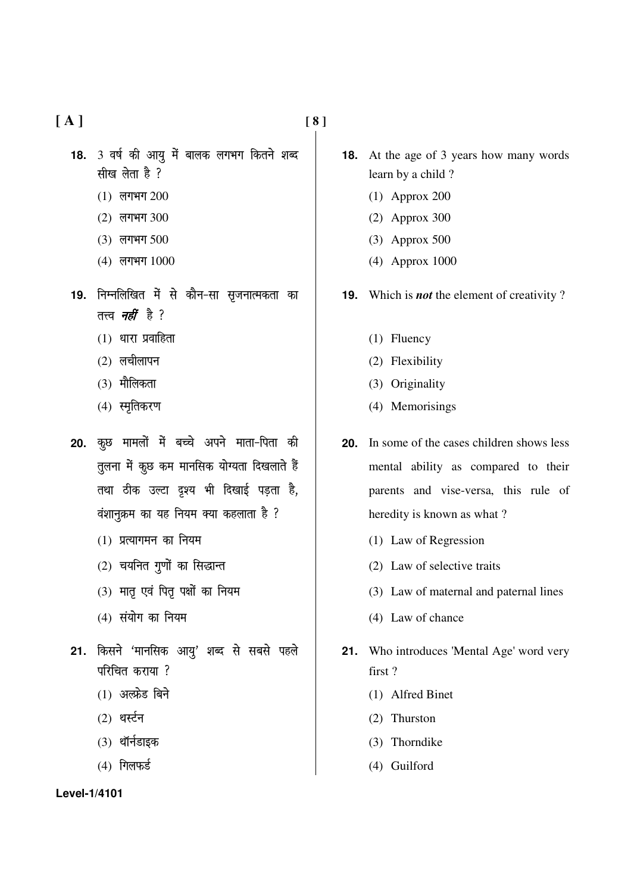$[A]$ 

- 18. 3 वर्ष की आयु में बालक लगभग कितने शब्द सीख लेता है ?
	- $(1)$  लगभग 200
	- $(2)$  लगभग 300
	- (3) लगभग 500
	- (4) लगभग 1000
- 19. निम्नलिखित में से कौन-सा सृजनात्मकता का तत्त्व *नहीं है* ?
	- $(1)$  धारा प्रवाहिता
	- $(2)$  लचीलापन
	- $(3)$  मौलिकता
	- $(4)$  स्मृतिकरण
- 20. कृछ मामलों में बच्चे अपने माता-पिता की तूलना में कूछ कम मानसिक योग्यता दिखलाते हैं तथा ठीक उल्टा दृश्य भी दिखाई पड़ता है, वंशानुक्रम का यह नियम क्या कहलाता है ?
	- $(1)$  प्रत्यागमन का नियम
	- $(2)$  चयनित गुणों का सिद्धान्त
	- (3) मातृ एवं पितृ पक्षों का नियम
	- $(4)$  संयोग का नियम
- 21. किसने 'मानसिक आयु' शब्द से सबसे पहले परिचित कराया ?
	- $(1)$  अल्फ्रेड बिने
	- $(2)$  थर्स्टन
	- $(3)$  थॉर्नडाइक
	- $(4)$  गिलफर्ड
- **18.** At the age of 3 years how many words learn by a child?
	- $(1)$  Approx 200
	- $(2)$  Approx 300
	- $(3)$  Approx 500
	- $(4)$  Approx 1000
- **19.** Which is *not* the element of creativity?
	- $(1)$  Fluency
	- (2) Flexibility
	- (3) Originality
	- (4) Memorisings
- **20.** In some of the cases children shows less mental ability as compared to their parents and vise-versa, this rule of heredity is known as what?
	- (1) Law of Regression
	- (2) Law of selective traits
	- (3) Law of maternal and paternal lines
	- (4) Law of chance
- 21. Who introduces 'Mental Age' word very first?
	- (1) Alfred Binet
	- (2) Thurston
	- (3) Thorndike
	- (4) Guilford

#### Level-1/4101

 $[8]$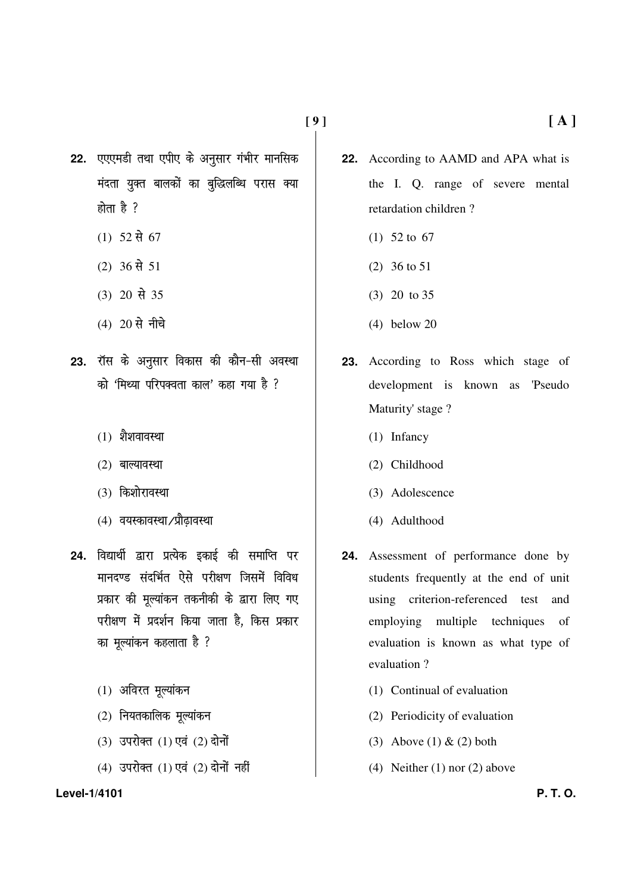22. एएएमडी तथा एपीए के अनुसार गंभीर मानसिक मंदता युक्त बालकों का बुद्धिलब्धि परास क्या होता है $?$ 

- $(1)$  52 से 67
- $(2)$  36 से 51
- $(3)$  20 से 35
- $(4)$  20 से नीचे
- 23. रॉस के अनुसार विकास की कौन-सी अवस्था को 'मिथ्या परिपक्वता काल' कहा गया है ?
	- $(1)$  शैशवावस्था
	- $(2)$  बाल्यावस्था
	- (3) किशोरावस्था
	- (4) वयस्कावस्था /प्रौढ़ावस्था
- 24. विद्यार्थी द्वारा प्रत्येक इकाई की समाप्ति पर मानदण्ड संदर्भित ऐसे परीक्षण जिसमें विविध प्रकार की मूल्यांकन तकनीकी के द्वारा लिए गए परीक्षण में प्रदर्शन किया जाता है. किस प्रकार का मूल्यांकन कहलाता है ?
	- $(1)$  अविरत मूल्यांकन
	- $(2)$  नियतकालिक मूल्यांकन
	- $(3)$  उपरोक्त  $(1)$  एवं  $(2)$  दोनों
	- $(4)$  उपरोक्त  $(1)$  एवं  $(2)$  दोनों नहीं

#### **Level-1/4101 P. T. O.**

- **22.** According to AAMD and APA what is the I. Q. range of severe mental retardation children ?
	- (1) 52 to 67
	- (2) 36 to 51
	- (3) 20 to 35
	- (4) below 20
- **23.** According to Ross which stage of development is known as 'Pseudo Maturity' stage ?
	- (1) Infancy
	- (2) Childhood
	- (3) Adolescence
	- (4) Adulthood
- **24.** Assessment of performance done by students frequently at the end of unit using criterion-referenced test and employing multiple techniques of evaluation is known as what type of evaluation ?
	- (1) Continual of evaluation
	- (2) Periodicity of evaluation
	- (3) Above (1)  $&$  (2) both
	- (4) Neither (1) nor (2) above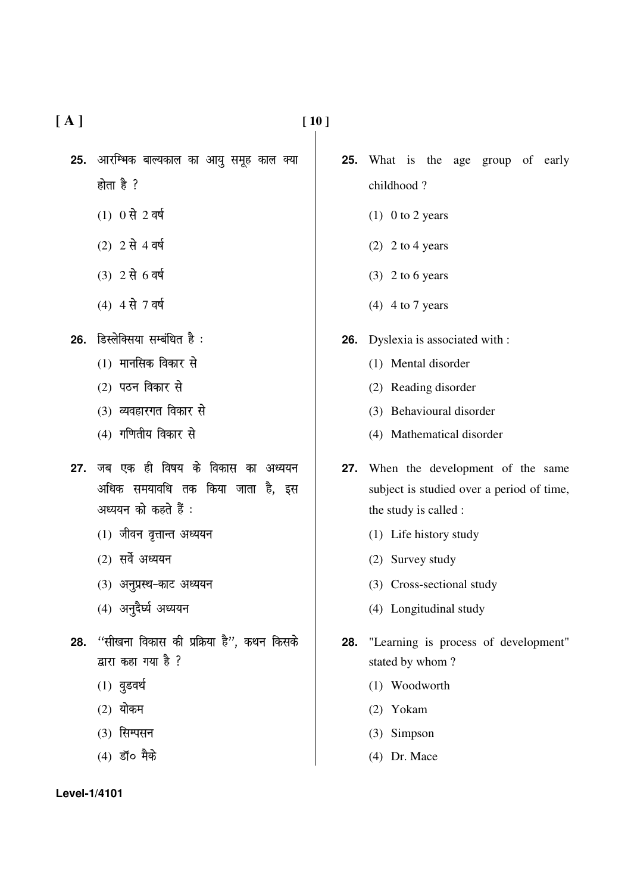- **25.** आरम्भिक बाल्यकाल का आयु समूह काल क्या होता है  $\frac{3}{2}$ 
	- $(1)$  0 से 2 वर्ष
	- $(2)$  2 से 4 वर्ष
	- $(3)$   $2 \overrightarrow{r}$  6 a  $\infty$
	- $(4)$  4 से 7 वर्ष
- 26. डिस्लेक्सिया सम्बंधित है:
	- $(1)$  मानसिक विकार से
	- $(2)$  पठन विकार से
	- $(3)$  व्यवहारगत विकार से
	- $(4)$  गणितीय विकार से
- 27. जब एक ही विषय के विकास का अध्ययन अधिक समयावधि तक किया जाता है. इस अध्ययन को कहते हैं :
	- $(1)$  जीवन वृत्तान्त अध्ययन
	- $(2)$  सर्वे अध्ययन
	- $(3)$  अनुप्रस्थ-काट अध्ययन
	- $(4)$  अनुदैर्घ्य अध्ययन
- 28. **"सीखना विकास की प्रक्रिया है", कथन किस**के द्वारा कहा गया है  $\frac{3}{2}$ 
	- $(1)$  वुडवर्थ
	- $(2)$  योकम
	- $(3)$  सिम्पसन
	- $(4)$  डॉ $\circ$  मैके

- **25.** What is the age group of early childhood ?
	- $(1)$  0 to 2 years
	- (2) 2 to 4 years
	- $(3)$  2 to 6 years
	- (4) 4 to 7 years
- **26.** Dyslexia is associated with :
	- (1) Mental disorder
	- (2) Reading disorder
	- (3) Behavioural disorder
	- (4) Mathematical disorder
- **27.** When the development of the same subject is studied over a period of time, the study is called :
	- (1) Life history study
	- (2) Survey study
	- (3) Cross-sectional study
	- (4) Longitudinal study
- **28.** "Learning is process of development" stated by whom ?
	- (1) Woodworth
	- (2) Yokam
	- (3) Simpson
	- (4) Dr. Mace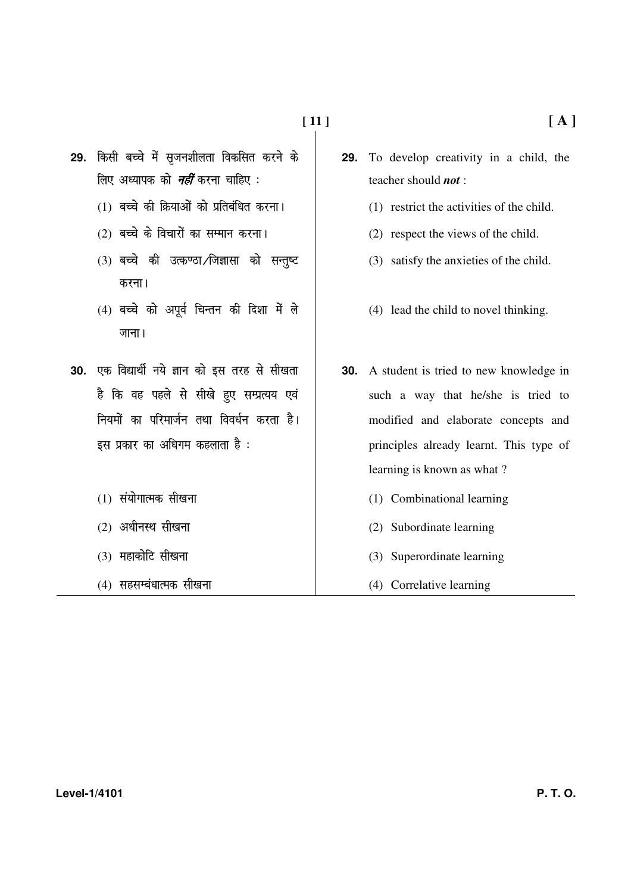- 29. किसी बच्चे में सुजनशीलता विकसित करने के लिए अध्यापक को *नहीं* करना चाहिए :
	- (1) बच्चे की क्रियाओं को प्रतिबंधित करना।
	- (2) बच्चे के विचारों का सम्मान करना।
	- (3) बच्चे की उत्कण्ठा/जिज्ञासा को सन्तुष्ट करना।
	- $(4)$  बच्चे को अपूर्व चिन्तन की दिशा में ले जाना।
- 30. एक विद्यार्थी नये ज्ञान को इस तरह से सीखता है कि वह पहले से सीखे हुए सम्प्रत्यय एवं नियमों का परिमार्जन तथा विवर्धन करता है। इस प्रकार का अधिगम कहलाता है :
	- (1) संयोगात्मक सीखना
	- $(2)$  अधीनस्थ सीखना
	- $(3)$  महाकोटि सीखना
	- (4) सहसम्बंधात्मक सीखना
- $[A]$
- To develop creativity in a child, the 29. teacher should not:
	- (1) restrict the activities of the child.
	- (2) respect the views of the child.
	- (3) satisfy the anxieties of the child.
	- (4) lead the child to novel thinking.
- **30.** A student is tried to new knowledge in such a way that he/she is tried to modified and elaborate concepts and principles already learnt. This type of learning is known as what?
	- (1) Combinational learning
	- (2) Subordinate learning
	- (3) Superordinate learning
	- (4) Correlative learning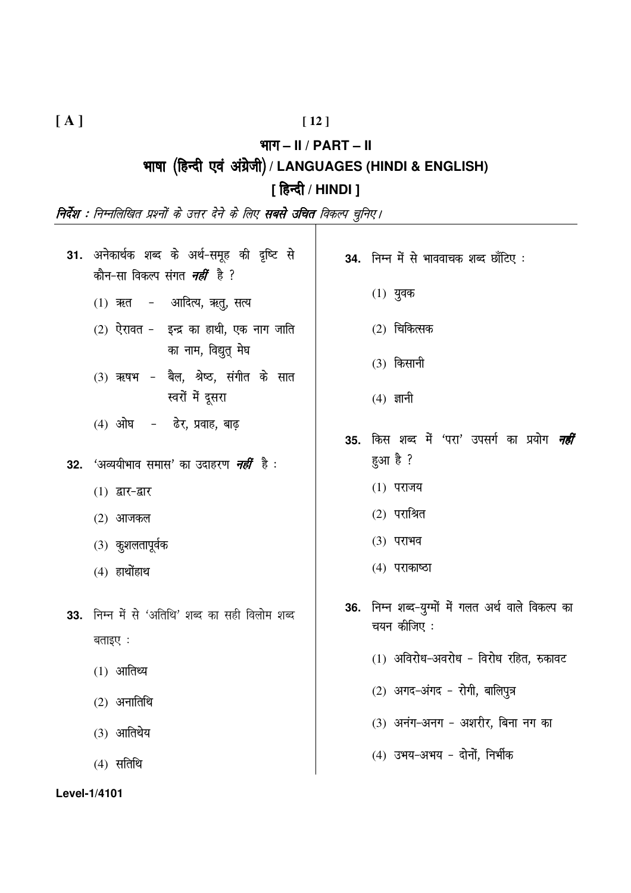# $[12]$

भाग  $-$  II / PART  $-$  II

भाषा (हिन्दी एवं अंग्रेजी) / LANGUAGES (HINDI & ENGLISH)

# [ हिन्दी / HINDI ]

.<br><mark>निर्देश : निम्नलिखित प्रश्नों के उत्तर देने के लिए **सबसे उचित** विकल्प चुनिए।</mark>

|                                                                                | 31. अनेकार्थक शब्द के अर्थ-समूह की दृष्टि से<br>कौन-सा विकल्प संगत <i><b>नहीं</b> है</i> ?<br>(1) ऋत - आदित्य, ऋतु, सत्य<br>$(2)$ ऐरावत - इन्द्र का हाथी, एक नाग जाति<br>का नाम, विद्युत् मेघ<br>(3) ऋषभ - बैल, श्रेष्ठ, संगीत के सात | 34. निम्न में से भाववाचक शब्द छाँटिए:<br>$(1)$ युवक<br>$(2)$ चिकित्सक<br>$(3)$ किसानी                                                                                                                            |
|--------------------------------------------------------------------------------|---------------------------------------------------------------------------------------------------------------------------------------------------------------------------------------------------------------------------------------|------------------------------------------------------------------------------------------------------------------------------------------------------------------------------------------------------------------|
|                                                                                | स्वरों में दूसरा<br>(4) ओघ - ढेर, प्रवाह, बाढ़                                                                                                                                                                                        | $(4)$ ज्ञानी                                                                                                                                                                                                     |
| 32.<br>$(1)$ द्वार-द्वार<br>$(2)$ आजकल<br>$(3)$ कुशलतापूर्वक<br>$(4)$ हाथोंहाथ | 'अव्ययीभाव समास' का उदाहरण <i><b>नहीं</b></i> है :                                                                                                                                                                                    | 35. किस शब्द में 'परा' उपसर्ग का प्रयोग <i>नहीं</i><br>हुआ है ?<br>$(1)$ पराजय<br>$(2)$ पराश्रित<br>(3) पराभव<br>$(4)$ पराकाष्ठा                                                                                 |
| 33.<br>बताइए :<br>$(1)$ आतिथ्य<br>$(2)$ अनातिथि<br>$(3)$ आतिथेय<br>$(4)$ सतिथि | निम्न में से 'अतिथि' शब्द का सही विलोम शब्द                                                                                                                                                                                           | 36. निम्न शब्द-युग्मों में गलत अर्थ वाले विकल्प का<br>चयन कीजिए :<br>(1) अविरोध-अवरोध - विरोध रहित, रुकावट<br>(2) अगद-अंगद - रोगी, बालिपूत्र<br>(3) अनंग-अनग - अशरीर, बिना नग का<br>(4) उभय-अभय - दोनों, निर्भीक |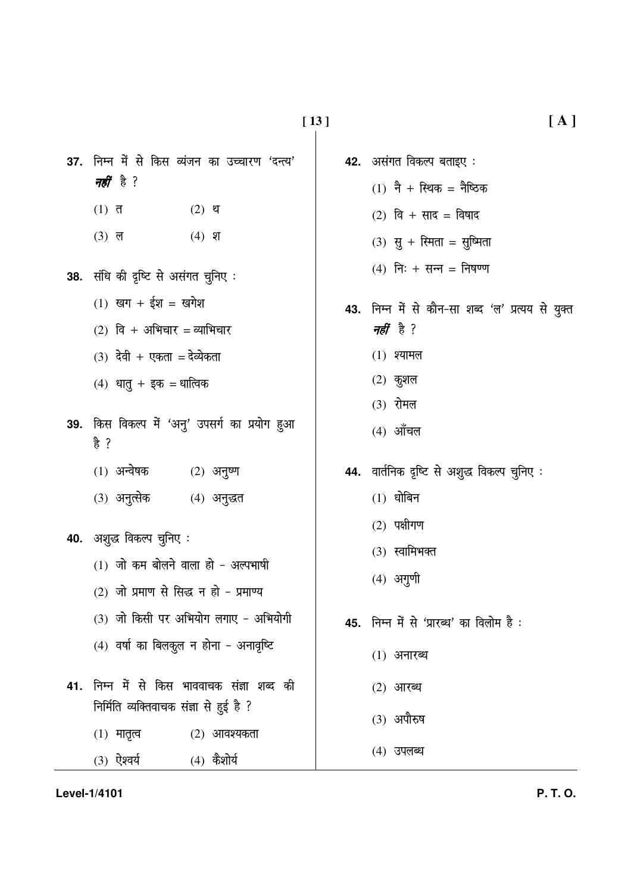- 37. निम्न में से किस व्यंजन का उच्चारण 'दन्त्य' *नहीं* है ?
	- $(1)$  त  $(2)$  थ
	- $(3)$  ल  $(4)$  श
- 38. संधि की दृष्टि से असंगत चुनिए:
	- $(1)$  खग + ईश = खगेश
	- $(2)$  वि + अभिचार = व्याभिचार
	- $(3)$  देवी + एकता = देव्येकता
	- $(4)$  धातु + इक = धात्विक
- 39. किस विकल्प में 'अनु' उपसर्ग का प्रयोग हुआ 욹 ?
	- $(1)$  अन्वेषक  $(2)$  अनुष्ण
	- (3) अनुत्सेक (4) अनुद्धत
- 40. अशुद्ध विकल्प चुनिए:
	- $(1)$  जो कम बोलने वाला हो अल्पभाषी
	- (2) जो प्रमाण से सिद्ध न हो प्रमाण्य
	- (3) जो किसी पर अभियोग लगाए अभियोगी
	- $(4)$  वर्षा का बिलकुल न होना अनावृष्टि
- 41. निम्न में से किस भाववाचक संज्ञा शब्द की निर्मिति व्यक्तिवाचक संज्ञा से हुई है ?
	- $(1)$  मातृत्व  $(2)$  आवश्यकता
	- $(3)$  ऐश्वर्य  $(4)$  कैशोर्य
- 42. असंगत विकल्प बताइए:
	- $(1)$  नै + स्थिक = नैष्ठिक
	- $(2)$  वि + साद = विषाद
	- (3) सु + रिमता = सुष्मिता
	- (4) निः + सन्न = निषण्ण
- 43. निम्न में से कौन-सा शब्द 'ल' प्रत्यय से युक्त *नहीं* है ?
	- $(1)$  श्यामल
	- $(2)$  कुशल
	- (3) रोमल
	- $(4)$  आँचल
- 44. वार्तनिक दृष्टि से अशुद्ध विकल्प चुनिए:
	- $(1)$  धोबिन
	- $(2)$  पक्षीगण
	- (3) स्वामिभक्त
	- $(4)$  अगुणी
- 45. निम्न में से 'प्रारब्ध' का विलोम है:
	- $(1)$  अनारब्ध
	- $(2)$  आरब्ध
	- (3) अपौरुष
	- (4) उपलब्ध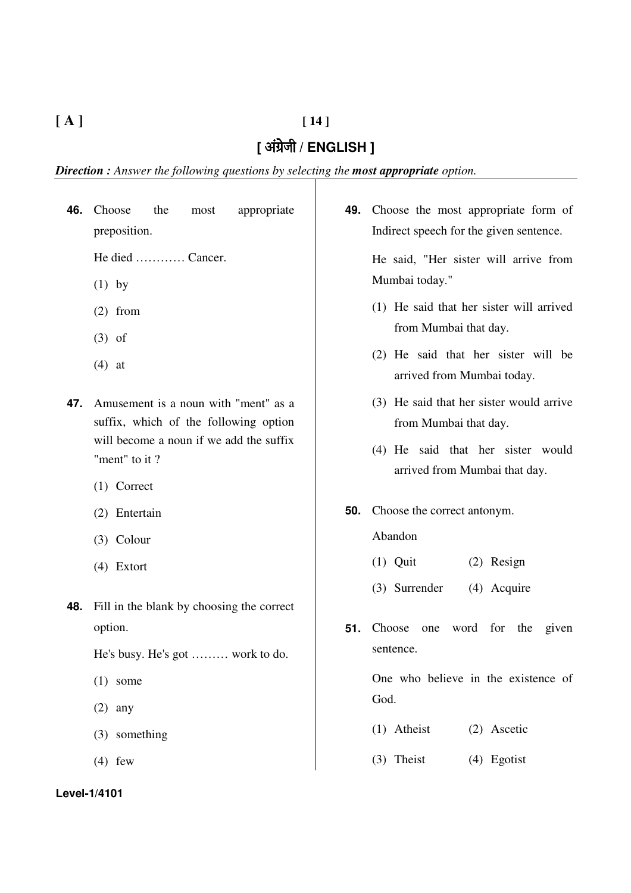# **[ A ] [ 14 ]**

# [ अंग्रेजी / ENGLISH ]

*Direction : Answer the following questions by selecting the most appropriate option.*

| 46. | Choose<br>the<br>appropriate<br>most                                          | 49. | Choose the most appropriate form of                                |
|-----|-------------------------------------------------------------------------------|-----|--------------------------------------------------------------------|
|     | preposition.                                                                  |     | Indirect speech for the given sentence.                            |
|     | He died  Cancer.                                                              |     | He said, "Her sister will arrive from                              |
|     | $(1)$ by                                                                      |     | Mumbai today."                                                     |
|     | $(2)$ from                                                                    |     | (1) He said that her sister will arrived                           |
|     | $(3)$ of                                                                      |     | from Mumbai that day.                                              |
|     | $(4)$ at                                                                      |     | (2) He said that her sister will be<br>arrived from Mumbai today.  |
| 47. | Amusement is a noun with "ment" as a<br>suffix, which of the following option |     | (3) He said that her sister would arrive<br>from Mumbai that day.  |
|     | will become a noun if we add the suffix<br>"ment" to it?                      |     | (4) He said that her sister would<br>arrived from Mumbai that day. |
|     | $(1)$ Correct                                                                 |     |                                                                    |
|     | (2) Entertain                                                                 | 50. | Choose the correct antonym.                                        |
|     | $(3)$ Colour                                                                  |     | Abandon                                                            |
|     | $(4)$ Extort                                                                  |     | $(1)$ Quit<br>(2) Resign                                           |
| 48. | Fill in the blank by choosing the correct                                     |     | (3) Surrender<br>(4) Acquire                                       |
|     | option.                                                                       | 51. | Choose<br>word for the<br>given<br>one                             |
|     | He's busy. He's got  work to do.                                              |     | sentence.                                                          |
|     | $(1)$ some                                                                    |     | One who believe in the existence of                                |
|     | $(2)$ any                                                                     |     | God.                                                               |
|     | (3) something                                                                 |     | (1) Atheist<br>(2) Ascetic                                         |
|     | $(4)$ few                                                                     |     | (3) Theist<br>(4) Egotist                                          |
|     | Level-1/4101                                                                  |     |                                                                    |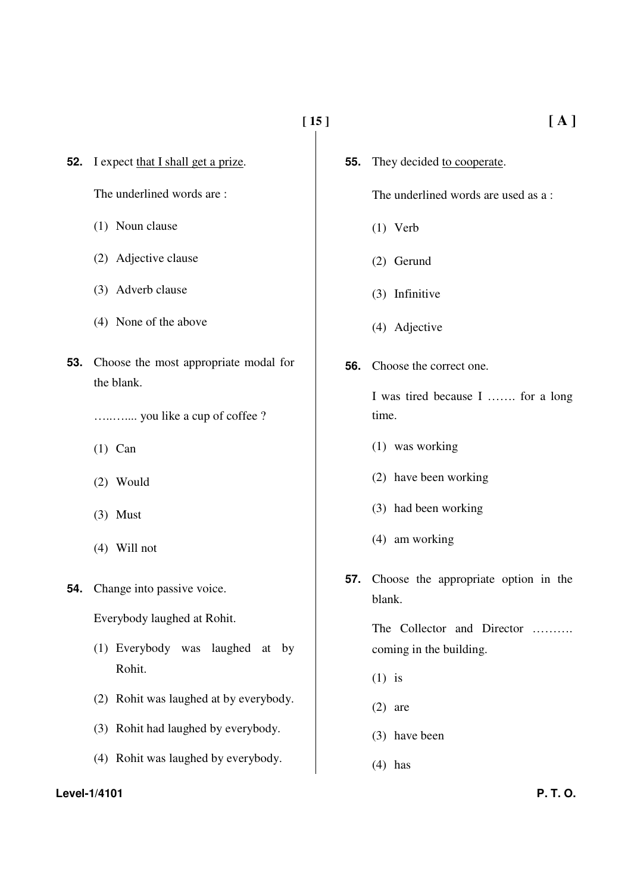**[ 15 ] [ A ]**

**52.** I expect that I shall get a prize.

The underlined words are :

- (1) Noun clause
- (2) Adjective clause
- (3) Adverb clause
- (4) None of the above
- **53.** Choose the most appropriate modal for the blank.

…..….... you like a cup of coffee ?

- (1) Can
- (2) Would
- (3) Must
- (4) Will not
- **54.** Change into passive voice.

Everybody laughed at Rohit.

- (1) Everybody was laughed at by Rohit.
- (2) Rohit was laughed at by everybody.
- (3) Rohit had laughed by everybody.
- (4) Rohit was laughed by everybody.

#### **Level-1/4101 P. T. O.**

- 
- **55.** They decided to cooperate.

The underlined words are used as a :

- (1) Verb
- (2) Gerund
- (3) Infinitive
- (4) Adjective
- **56.** Choose the correct one.

I was tired because I ……. for a long time.

- (1) was working
- (2) have been working
- (3) had been working
- (4) am working
- **57.** Choose the appropriate option in the blank.

The Collector and Director ……… coming in the building.

- (1) is
- (2) are
- (3) have been
- $(4)$  has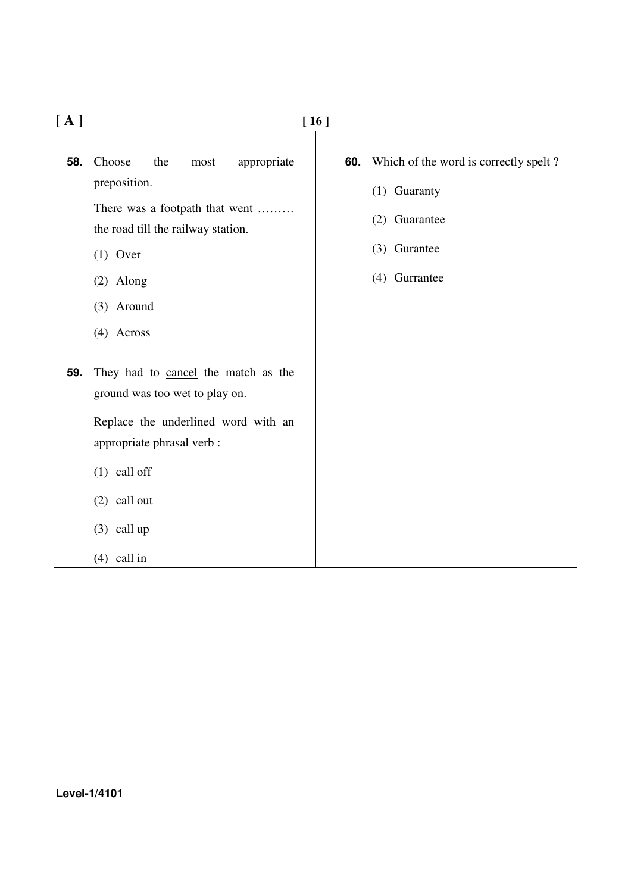**[ A ] [ 16 ]** 

**58.** Choose the most appropriate preposition.

> There was a footpath that went ……… the road till the railway station.

- (1) Over
- (2) Along
- (3) Around
- (4) Across
- **59.** They had to cancel the match as the ground was too wet to play on.

Replace the underlined word with an appropriate phrasal verb :

- (1) call off
- (2) call out
- (3) call up
- (4) call in
- **60.** Which of the word is correctly spelt ?
	- (1) Guaranty
	- (2) Guarantee
	- (3) Gurantee
	- (4) Gurrantee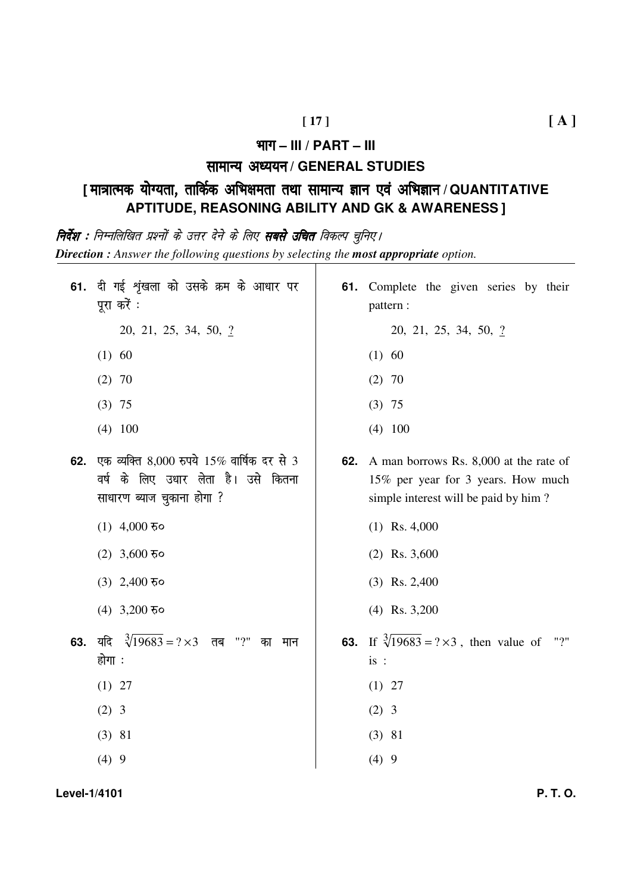#### Hkkx **– III / PART – III**

# **सामान्य अध्ययन / GENERAL STUDIES**

# **[** ek=kRed ;k sX;rk] rkfdZd vfHk{kerk rFkk lkekU; sX;rk] rkfdZd lkekU;Kku,o a vfHkKku ,o a vfHkKku **/ QUANTITATIVE APTITUDE, REASONING ABILITY AND GK & AWARENESS ]**

**निर्देश :** निम्नलिखित प्रश्नों के उत्तर देने के लिए **सबसे उचित** विकल्प चुनिए l *Direction : Answer the following questions by selecting the most appropriate option.*

|     | 61. दी गई शृंखला को उसके क्रम के आधार पर<br>पूरा करें :<br>20, 21, 25, 34, 50, 2<br>$(1)$ 60<br>$(2)$ 70<br>$(3)$ 75 |     | 61. Complete the given series by their<br>pattern:<br>20, 21, 25, 34, 50, 2<br>(1) 60<br>$(2)$ 70<br>$(3)$ 75        |
|-----|----------------------------------------------------------------------------------------------------------------------|-----|----------------------------------------------------------------------------------------------------------------------|
|     | $(4)$ 100                                                                                                            |     | $(4)$ 100                                                                                                            |
| 62. | एक व्यक्ति 8,000 रुपये 15% वार्षिक दर से 3<br>वर्ष के लिए उधार लेता है। उसे कितना<br>साधारण ब्याज चुकाना होगा ?      | 62. | A man borrows Rs. 8,000 at the rate of<br>15% per year for 3 years. How much<br>simple interest will be paid by him? |
|     | $(1)$ 4,000 $\overline{6}$ o                                                                                         |     | $(1)$ Rs. 4,000                                                                                                      |
|     | (2) 3,600 $\overline{5}$ <b>o</b>                                                                                    |     | $(2)$ Rs. 3,600                                                                                                      |
|     | (3) $2,400$ $\overline{6}$ <b>o</b>                                                                                  |     | $(3)$ Rs. 2,400                                                                                                      |
|     | (4) 3,200 $\overline{5}$ <b>o</b>                                                                                    |     | $(4)$ Rs. 3,200                                                                                                      |
| 63. | यदि $\sqrt[3]{19683} = ? \times 3$ तब<br>"?"<br>का<br>मान<br>होगा ः                                                  | 63. | If $\sqrt[3]{19683}$ = ? × 3, then value of<br>"?"<br>is:                                                            |
|     | $(1)$ 27                                                                                                             |     | $(1)$ 27                                                                                                             |
|     | $(2)$ 3                                                                                                              |     | $(2)$ 3                                                                                                              |
|     | $(3)$ 81                                                                                                             |     | $(3)$ 81                                                                                                             |
|     | (4)9                                                                                                                 |     | (4)9                                                                                                                 |

**Level-1/4101 P. T. O.**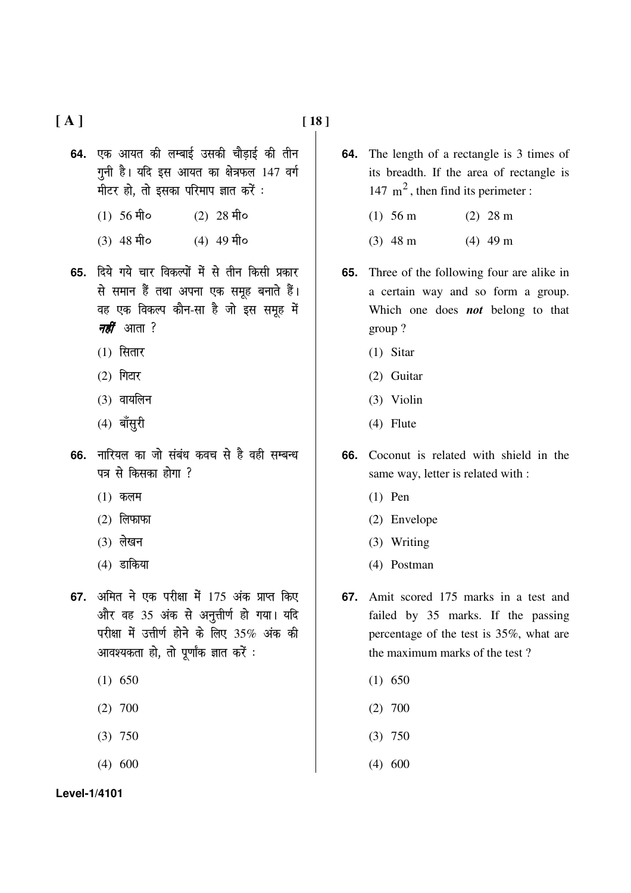**[ A ] [ 18 ]** 

- 64. एक आयत की लम्बाई उसकी चौडाई की तीन  $\overline{y}$ नी है। यदि इस आयत का क्षेत्रफल 147 वर्ग मीटर हो, तो इसका परिमाप ज्ञात करें:
	- $(1)$  56 मी०  $(2)$  28 मी०
	- $(3)$  48  $\hat{H}$ o  $(4)$  49  $\hat{H}$ o
- **65.** दिये गये चार विकल्पों में से तीन किसी प्रकार से समान हैं तथा अपना एक समृह बनाते हैं। वह एक विकल्प कौन-सा है जो इस समूह में *नहीं* आता ?
	- $(1)$  सितार
	- $(2)$  गिटार
	- $(3)$  वायलिन
	- $(4)$  बॉसूरी
- 66. नारियल का जो संबंध कवच से है वही सम्बन्ध पत्र से किसका होगा  $?$ 
	- $(1)$  कलम
	- $(2)$  लिफाफा
	- $(3)$  लेखन
	- $(4)$  डाकिया
- **67.** अमित ने एक परीक्षा में 175 अंक प्राप्त किए और वह 35 अंक से अनुत्तीर्ण हो गया। यदि परीक्षा में उत्तीर्ण होने के लिए 35% अंक की आवश्यकता हो, तो पूर्णांक ज्ञात करें :
	- (1) 650
	- (2) 700
	- (3) 750
	- (4) 600
- **64.** The length of a rectangle is 3 times of its breadth. If the area of rectangle is 147  $m<sup>2</sup>$ , then find its perimeter :
	- (1) 56 m (2) 28 m
	- (3) 48 m (4) 49 m
- **65.** Three of the following four are alike in a certain way and so form a group. Which one does *not* belong to that group ?
	- (1) Sitar
	- (2) Guitar
	- (3) Violin
	- (4) Flute
- **66.** Coconut is related with shield in the same way, letter is related with :
	- (1) Pen
	- (2) Envelope
	- (3) Writing
	- (4) Postman
- **67.** Amit scored 175 marks in a test and failed by 35 marks. If the passing percentage of the test is 35%, what are the maximum marks of the test ?
	- $(1)$  650
	- (2) 700
	- (3) 750
	- (4) 600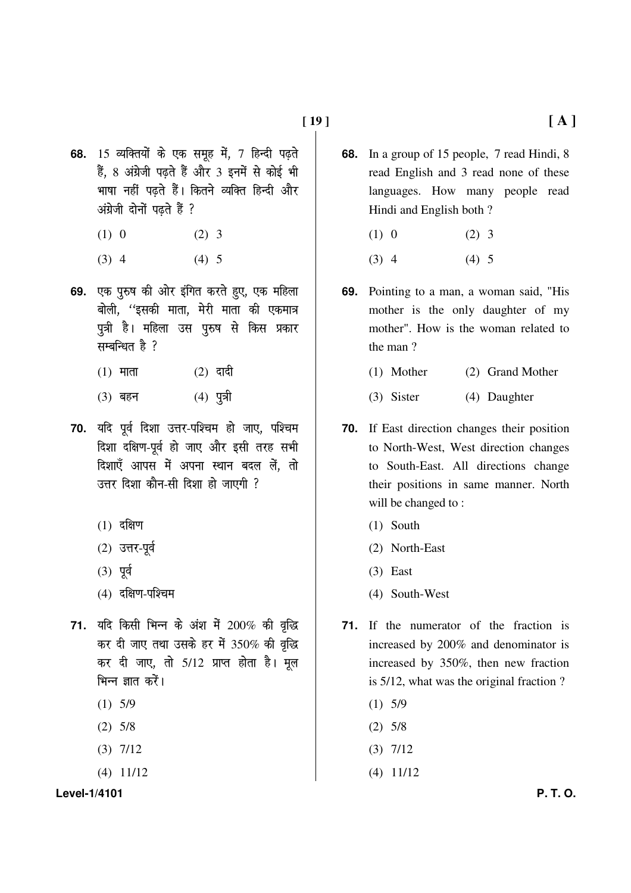- **68.** 15 व्यक्तियों के एक समूह में, 7 हिन्दी पढ़ते हैं, 8 अंग्रेजी पढते हैं और 3 इनमें से कोई भी भाषा नहीं पढते हैं। कितने व्यक्ति हिन्दी और अंग्रेजी दोनों पढते हैं ?
	- (1) 0 (2) 3
	- $(3)$  4  $(4)$  5
- 69. एक पुरुष की ओर इंगित करते हुए, एक महिला बोली, ''इसकी माता, मेरी माता की एकमात्र पुत्री है। महिला उस पुरुष से किस प्रकार सम्बन्धित है $?$ 
	- $(1)$  माता  $(2)$  दादी
	- $(3)$  बहन  $(4)$  पुत्री
- 70. यदि पूर्व दिशा उत्तर-पश्चिम हो जाए, पश्चिम दिशा दक्षिण-पूर्व हो जाए और इसी तरह सभी दिशाएँ आपस में अपना स्थान बदल लें. तो  $\overline{x}$ त्तर दिशा कौन-सी दिशा हो जाएगी  $\overline{y}$ 
	- $(1)$  दक्षिण
	- $(2)$  उत्तर-पूर्व
	- $(3)$  पूर्व
	- $(4)$  दक्षिण-पश्चिम
- 71. यदि किसी भिन्न के अंश में 200% की वृद्धि कर दी जाए तथा उसके हर में  $350\%$  की वृद्धि कर दी जाए, तो 5/12 प्राप्त होता है। मूल भिन्न ज्ञात करें।
	- $(1)$  5/9
	- (2) 5/8
	- (3) 7/12
	- (4) 11/12

**Level-1/4101 P. T. O.** 

- **68.** In a group of 15 people, 7 read Hindi, 8 read English and 3 read none of these languages. How many people read Hindi and English both ?
	- (1) 0 (2) 3
	- $(3)$  4  $(4)$  5
- **69.** Pointing to a man, a woman said, "His mother is the only daughter of my mother". How is the woman related to the man ?
	- (1) Mother (2) Grand Mother
	- (3) Sister (4) Daughter
- **70.** If East direction changes their position to North-West, West direction changes to South-East. All directions change their positions in same manner. North will be changed to:
	- (1) South
	- (2) North-East
	- (3) East
	- (4) South-West
- **71.** If the numerator of the fraction is increased by 200% and denominator is increased by 350%, then new fraction is 5/12, what was the original fraction ?
	- $(1)$  5/9
	- (2) 5/8
	- $(3)$  7/12
	- (4) 11/12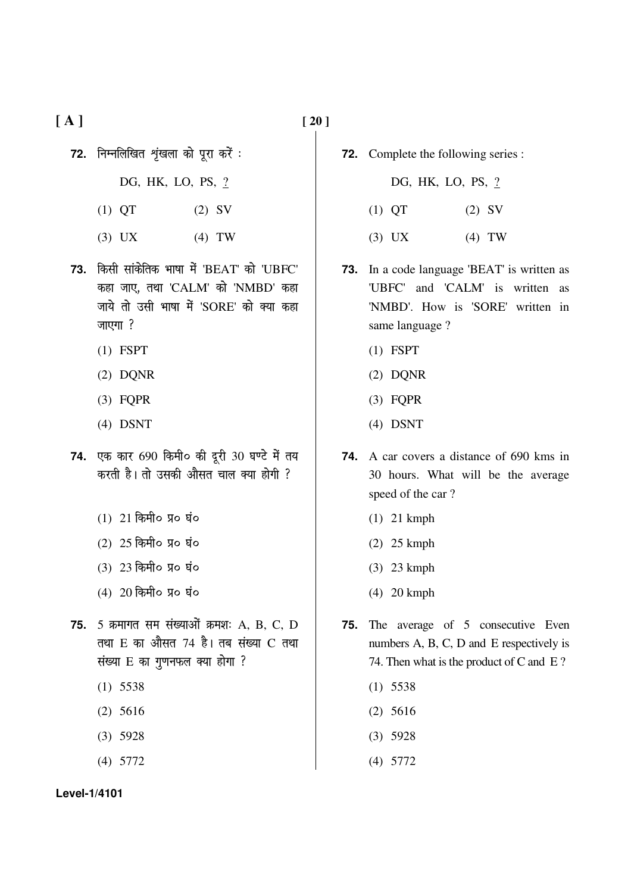**[ A ] [ 20 ]** 

- 72. निम्नलिखित शृंखला को पूरा करें :
	- DG, HK, LO, PS, ?
	- (1) QT (2) SV
	- (3) UX (4) TW
- **73. किसी सांकेतिक भाषा में 'BEAT' को 'UBFC'** कहा जाए, तथा 'CALM' को 'NMBD' कहा जाये तो उसी भाषा में 'SORE' को क्या कहा  $\overline{m}$ रगा?
	- (1) FSPT
	- (2) DQNR
	- (3) FQPR
	- (4) DSNT
- 74. एक कार 690 किमी० की दूरी 30 घण्टे में तय करती है। तो उसकी औसत चाल क्या होगी ?
	- $(1)$  21 किमी0 प्र0 घं०
	- $(2)$   $25$  किमी0 प्र0 घं0
	- $(3)$  23 किमी0 प्र0 घं0
	- $(4)$  20 किमी० प्र० घं०
- **75.** 5 क्रमागत सम संख्याओं क्रमशः A, B, C, D तथा E का औसत 74 है। तब संख्या C तथा  $t$  संख्या  $E$  का गुणनफल क्या होगा ?
	- (1) 5538
	- (2) 5616
	- (3) 5928
	- (4) 5772

- 
- **72.** Complete the following series :
	- DG, HK, LO, PS, ?
	- (1) QT (2) SV
	- (3) UX (4) TW
- **73.** In a code language 'BEAT' is written as 'UBFC' and 'CALM' is written as 'NMBD'. How is 'SORE' written in same language ?
	- (1) FSPT
	- (2) DQNR
	- (3) FQPR
	- (4) DSNT
- **74.** A car covers a distance of 690 kms in 30 hours. What will be the average speed of the car ?
	- (1) 21 kmph
	- (2) 25 kmph
	- (3) 23 kmph
	- (4) 20 kmph
- **75.** The average of 5 consecutive Even numbers A, B, C, D and E respectively is 74. Then what is the product of C and E ?
	- (1) 5538
	- (2) 5616
	- (3) 5928
	- (4) 5772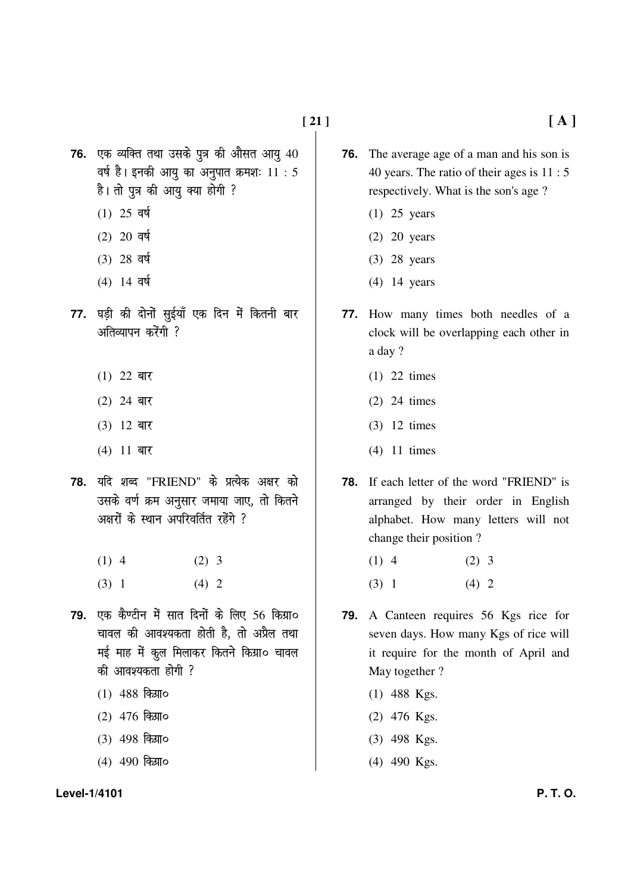**76.** एक व्यक्ति तथा उसके पुत्र की औसत आयु 40 वर्ष है। इनकी आयु का अनुपात क्रमशः  $11 : 5$ है। तो पुत्र की आयु क्या होगी ?

- $(1)$  25 वर्ष
- $(2)$  20 वर्ष
- $(3)$  28 वर्ष
- $(4)$  14 वर्ष
- 77. घड़ी की दोनों सुईयाँ एक दिन में कितनी बार  $\frac{1}{2}$ अतिव्यापन करेंगी  $\frac{2}{3}$ 
	- (1) 22 बार
	- $(2)$  24 बार
	- $(3)$  12 बार
	- $(4)$  11 बार
- 78. यदि शब्द "FRIEND" के प्रत्येक अक्षर को उसके वर्ण क्रम अनुसार जमाया जाए, तो कितने अक्षरों के स्थान अपरिवर्तित रहेंगे ?
	- $(1)$  4  $(2)$  3
	- $(3)$  1  $(4)$  2
- 79. एक कैण्टीन में सात दिनों के लिए 56 किग्रा**०** चावल की आवश्यकता होती है. तो अप्रैल तथा मई माह में कूल मिलाकर कितने किग्रा० चावल की आवश्यकता होगी ?
	- $(1)$  488 किया0
	- $(2)$  476 किया0
	- (3) 498 किया**0**
	- $(4)$  490 किया0

#### **Level-1/4101 P. T. O.**

- **76.** The average age of a man and his son is 40 years. The ratio of their ages is 11 : 5 respectively. What is the son's age ?
	- (1) 25 years
	- (2) 20 years
	- (3) 28 years
	- (4) 14 years
- **77.** How many times both needles of a clock will be overlapping each other in a day ?
	- (1) 22 times
	- (2) 24 times
	- (3) 12 times
	- (4) 11 times
- **78.** If each letter of the word "FRIEND" is arranged by their order in English alphabet. How many letters will not change their position ?
	- $(1)$  4  $(2)$  3
	- $(3)$  1  $(4)$  2
- **79.** A Canteen requires 56 Kgs rice for seven days. How many Kgs of rice will it require for the month of April and May together ?
	- (1) 488 Kgs.
	- (2) 476 Kgs.
	- (3) 498 Kgs.
	- (4) 490 Kgs.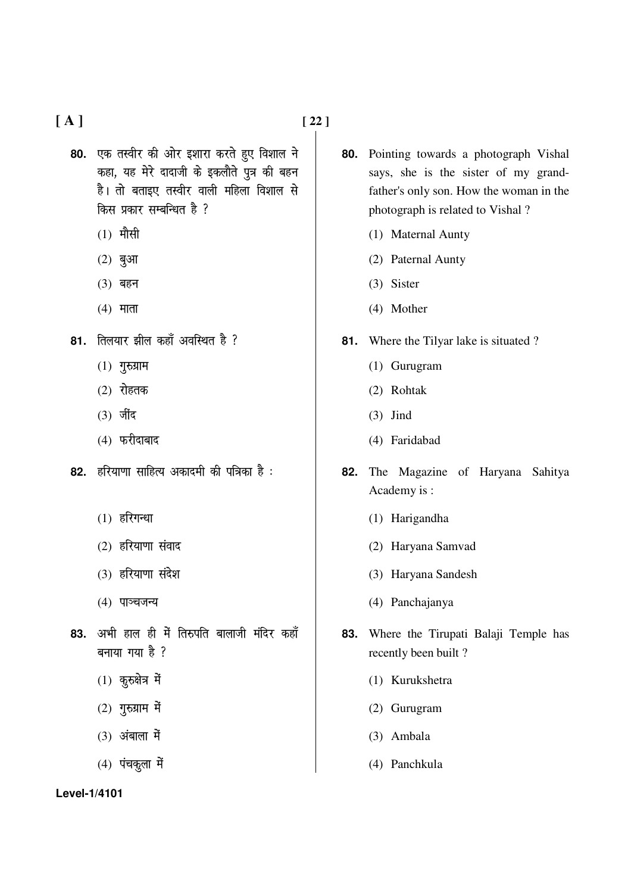**[ A ] [ 22 ]** 

80. एक तस्वीर की ओर इशारा करते हुए विशाल ने कहा, यह मेरे दादाजी के इकलौते पुत्र की बहन है। तो बताइए तस्वीर वाली महिला विशाल से किस प्रकार सम्बन्धित है ?

- $(1)$  मौसी
- $(2)$  बुआ
- $(3)$  बहन
- $(4)$  माता
- 81. तिलयार झील कहाँ अवस्थित है ?
	- $(1)$  गुरुग्राम
	- $(2)$  रोहतक
	- $(3)$  जींद
	- $(4)$  फरीदाबाद
- 82. हरियाणा साहित्य अकादमी की पत्रिका है :
	- $(1)$  हरिगन्धा
	- $(2)$  हरियाणा संवाद
	- (3) हरियाणा संदेश
	- $(4)$  पाञ्चजन्य
- 83. अभी हाल ही में तिरुपति बालाजी मंदिर कहाँ  $\overline{a}$ नाया गया है ?
	- $(1)$  कुरुक्षेत्र में
	- $(2)$  गुरुग्राम में
	- $(3)$  अंबाला में
	- $(4)$  पंचकूला में

- **80.** Pointing towards a photograph Vishal says, she is the sister of my grandfather's only son. How the woman in the photograph is related to Vishal ?
	- (1) Maternal Aunty
	- (2) Paternal Aunty
	- (3) Sister
	- (4) Mother
- **81.** Where the Tilyar lake is situated ?
	- (1) Gurugram
	- (2) Rohtak
	- (3) Jind
	- (4) Faridabad
- **82.** The Magazine of Haryana Sahitya Academy is :
	- (1) Harigandha
	- (2) Haryana Samvad
	- (3) Haryana Sandesh
	- (4) Panchajanya
- **83.** Where the Tirupati Balaji Temple has recently been built ?
	- (1) Kurukshetra
	- (2) Gurugram
	- (3) Ambala
	- (4) Panchkula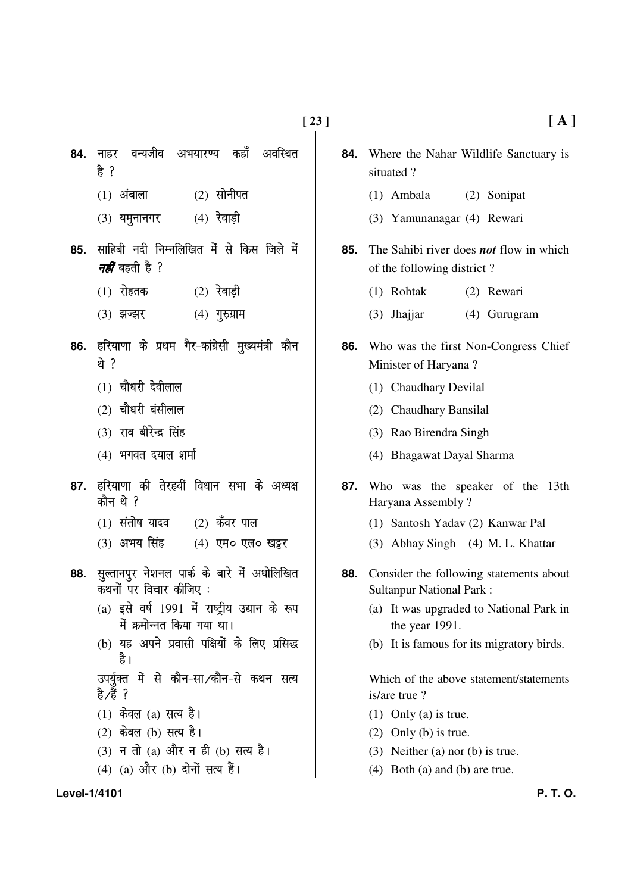- **84.** नाहर वन्यजीव अभयारण्य कहाँ अवस्थित हे $?$ 
	- $(1)$  अंबाला  $(2)$  सोनीपत
	- $(3)$  यमुनानगर  $(4)$  रेवाडी
- 85. साहिबी नदी निम्नलिखित में से किस जिले में *नहीं* बहती है ?
	- $(1)$  रोहतक  $(2)$  रेवाडी
	- $(3)$  झज्झर  $(4)$  गुरुग्राम
- 86. हरियाणा के प्रथम गैर-कांग्रेसी मुख्यमंत्री कौन थे ?
	- $(1)$  चौधरी देवीलाल
	- $(2)$  चौधरी बंसीलाल
	- $(3)$  राव बीरेन्द्र सिंह
	- $(4)$  भगवत दयाल शर्मा
- 87. हरियाणा की तेरहवीं विधान सभा के अध्यक्ष कौन $\theta$  ?
	- $(1)$  संतोष यादव  $(2)$  कँवर पाल
	- (3) अभय सिंह (4) एम० एल० खट्टर
- 88. सुल्तानपुर नेशनल पार्क के बारे में अधोलिखित कथनों पर विचार कीजिए :
	- $(a)$  इसे वर्ष 1991 में राष्ट्रीय उद्यान के रूप में क्रमोन्नत किया गया था।
	- (b) यह अपने प्रवासी पक्षियों के लिए प्रसिद्ध द्रे।

उपर्यक्त में से कौन-सा⁄कौन-से कथन सत्य हे ∕हैं ?

- $(1)$  केवल  $(a)$  सत्य है।
- $(2)$  केवल (b) सत्य है।
- (3) न तो (a) और न ही (b) सत्य है।
- (4) (a) और (b) दोनों सत्य हैं।
- **84.** Where the Nahar Wildlife Sanctuary is situated ?
	- (1) Ambala (2) Sonipat
	- (3) Yamunanagar (4) Rewari
- **85.** The Sahibi river does *not* flow in which of the following district ?
	- (1) Rohtak (2) Rewari
	- (3) Jhajjar (4) Gurugram
- **86.** Who was the first Non-Congress Chief Minister of Haryana ?
	- (1) Chaudhary Devilal
	- (2) Chaudhary Bansilal
	- (3) Rao Birendra Singh
	- (4) Bhagawat Dayal Sharma
- **87.** Who was the speaker of the 13th Haryana Assembly ?
	- (1) Santosh Yadav (2) Kanwar Pal
	- (3) Abhay Singh (4) M. L. Khattar
- **88.** Consider the following statements about Sultanpur National Park :
	- (a) It was upgraded to National Park in the year 1991.
	- (b) It is famous for its migratory birds.

Which of the above statement/statements is/are true ?

- (1) Only (a) is true.
- (2) Only (b) is true.
- (3) Neither (a) nor (b) is true.
- (4) Both (a) and (b) are true.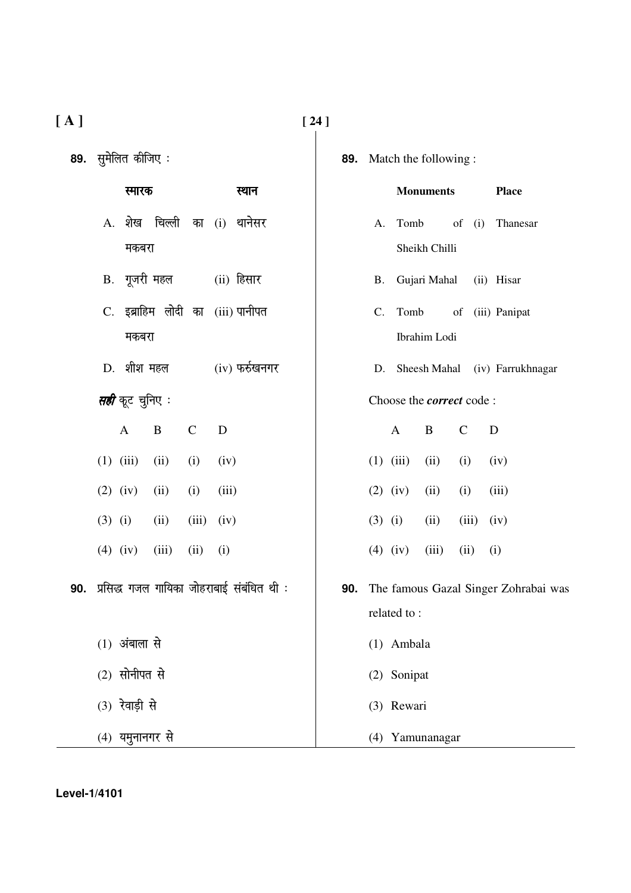| 89. | सुमेलित कीजिए:                            |             |                  |           |               | 89. Match the following:        |                                                                                                           |                                          |  |
|-----|-------------------------------------------|-------------|------------------|-----------|---------------|---------------------------------|-----------------------------------------------------------------------------------------------------------|------------------------------------------|--|
|     | स्मारक                                    |             | स्थान            |           |               | <b>Monuments</b>                |                                                                                                           | <b>Place</b>                             |  |
|     | A. शेख चिल्ली का                          |             | $(i)$ थानेसर     | A.        | Tomb          |                                 | $% \left( \left( \mathcal{A},\mathcal{A}\right) \right) =\left( \mathcal{A},\mathcal{A}\right)$ of<br>(i) | Thanesar                                 |  |
|     | मकबरा                                     |             |                  |           |               | Sheikh Chilli                   |                                                                                                           |                                          |  |
|     | B. गूजरी महल                              |             | (ii) हिसार       | <b>B.</b> |               | Gujari Mahal                    |                                                                                                           | (ii) Hisar                               |  |
|     | C. इब्राहिम लोदी का (iii) पानीपत          |             |                  | C.        | Tomb          |                                 |                                                                                                           | of (iii) Panipat                         |  |
|     | मकबरा                                     |             |                  |           |               | Ibrahim Lodi                    |                                                                                                           |                                          |  |
|     | D. शीश महल                                |             | $(iv)$ फर्रुखनगर | D.        |               |                                 |                                                                                                           | Sheesh Mahal (iv) Farrukhnagar           |  |
|     | <i>सही</i> कूट चुनिए :                    |             |                  |           |               | Choose the <i>correct</i> code: |                                                                                                           |                                          |  |
|     | B<br>$\mathbf{A}$                         | $\mathbf C$ | D                |           | $\mathbf{A}$  | B                               | $\mathsf{C}$                                                                                              | D                                        |  |
|     | $(1)$ $(iii)$<br>(ii)                     | (i)         | (iv)             |           | $(1)$ $(iii)$ | (ii)                            | (i)                                                                                                       | (iv)                                     |  |
|     | $(2)$ $(iv)$<br>(ii)                      | (i)         | (iii)            |           | $(2)$ $(iv)$  | (ii)                            | (i)                                                                                                       | (iii)                                    |  |
|     | $(3)$ (i)<br>(ii)                         | (iii)       | (iv)             | $(3)$ (i) |               | (ii)                            | (iii)                                                                                                     | (iv)                                     |  |
|     | (iii)<br>$(4)$ (iv)                       | (ii)        | (i)              |           | $(4)$ (iv)    | (iii)                           | (ii)                                                                                                      | (i)                                      |  |
| 90. | प्रसिद्ध गजल गायिका जोहराबाई संबंधित थी : |             |                  |           |               |                                 |                                                                                                           | 90. The famous Gazal Singer Zohrabai was |  |
|     |                                           |             |                  |           | related to:   |                                 |                                                                                                           |                                          |  |
|     | (1) अंबाला से                             |             |                  |           | (1) Ambala    |                                 |                                                                                                           |                                          |  |
|     | $(2)$ सोनीपत से                           |             |                  |           | (2) Sonipat   |                                 |                                                                                                           |                                          |  |
|     | (3) रेवाड़ी से                            |             |                  |           | (3) Rewari    |                                 |                                                                                                           |                                          |  |
|     | (4) यमुनानगर से                           |             |                  |           |               | (4) Yamunanagar                 |                                                                                                           |                                          |  |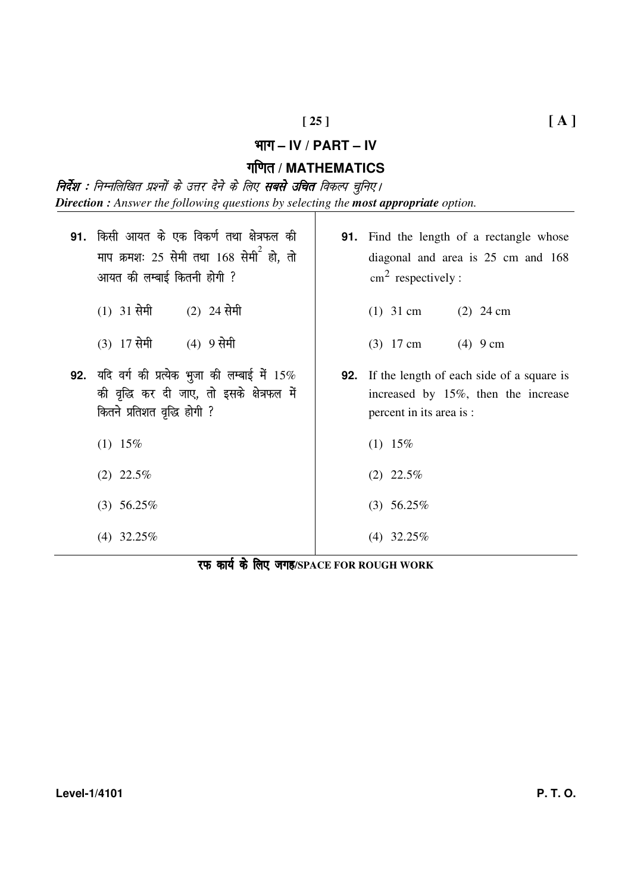## Hkkx **– IV / PART – IV**

# xf.kr **/ MATHEMATICS**

**निर्देश :** निम्नलिखित प्रश्नों के उत्तर देने के लिए **सबसे उचित** विकल्प चुनिए। *Direction : Answer the following questions by selecting the most appropriate option.* 

| 91. | किसी आयत के एक विकर्ण तथा क्षेत्रफल की<br>माप क्रमशः 25 सेमी तथा 168 सेमी <sup>2</sup> हो, तो<br>आयत की लम्बाई कितनी होगी ?     | <b>91.</b> Find the length of a rectangle whose<br>diagonal and area is 25 cm and 168<br>$\text{cm}^2$ respectively :   |
|-----|---------------------------------------------------------------------------------------------------------------------------------|-------------------------------------------------------------------------------------------------------------------------|
|     | $(1)$ 31 सेमी $(2)$ 24 सेमी                                                                                                     | $(1)$ 31 cm<br>$(2)$ 24 cm                                                                                              |
|     | (3) 17 सेमी<br>(4) 9 सेमी                                                                                                       | $(3)$ 17 cm $(4)$ 9 cm                                                                                                  |
|     | 92. यदि वर्ग की प्रत्येक भुजा की लम्बाई में $15\%$<br>की वृद्धि कर दी जाए, तो इसके क्षेत्रफल में<br>कितने प्रतिशत वृद्धि होगी ? | <b>92.</b> If the length of each side of a square is<br>increased by 15%, then the increase<br>percent in its area is : |
|     | $(1)$ 15%                                                                                                                       | $(1)$ 15%                                                                                                               |
|     | $(2)$ 22.5%                                                                                                                     | $(2)$ 22.5%                                                                                                             |
|     | $(3)$ 56.25%                                                                                                                    | $(3)$ 56.25%                                                                                                            |
|     | $(4)$ 32.25%                                                                                                                    | $(4)$ 32.25%                                                                                                            |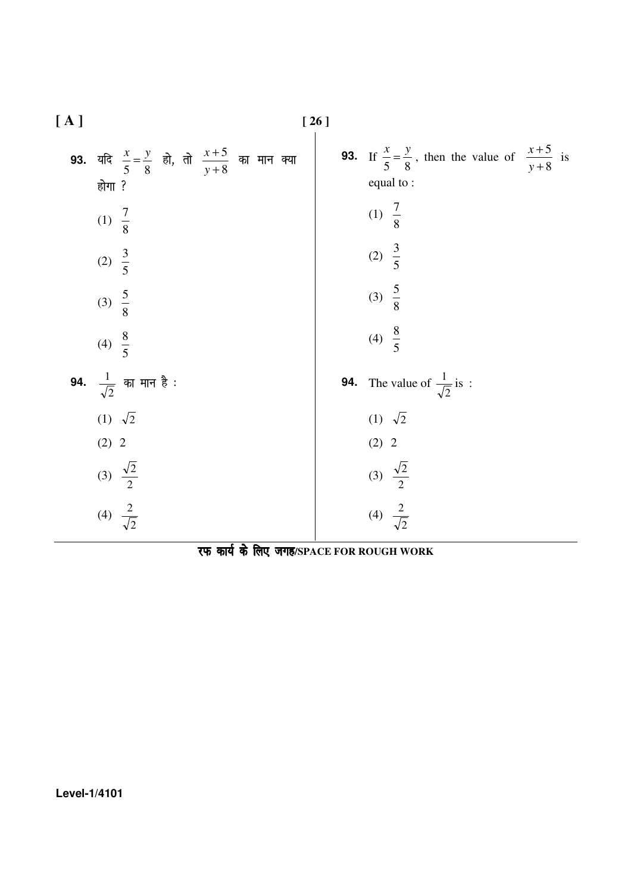| [A] |                                                                                    | [26] |                                                                                          |
|-----|------------------------------------------------------------------------------------|------|------------------------------------------------------------------------------------------|
|     | 93. यदि $\frac{x}{5} = \frac{y}{8}$ हो, तो $\frac{x+5}{y+8}$ का मान क्या<br>होगा ? |      | 93. If $\frac{x}{5} = \frac{y}{8}$ , then the value of $\frac{x+5}{y+8}$ is<br>equal to: |
|     | (1) $\frac{7}{8}$                                                                  |      | (1) $\frac{7}{8}$                                                                        |
|     | (2) $\frac{3}{5}$                                                                  |      | (2) $\frac{3}{5}$                                                                        |
|     | (3) $\frac{5}{8}$                                                                  |      | (3) $\frac{5}{8}$                                                                        |
|     | (4) $\frac{8}{5}$                                                                  |      | (4) $\frac{8}{5}$                                                                        |
|     | <b>94.</b> $\frac{1}{\sqrt{2}}$ का मान है :                                        | 94.  | The value of $\frac{1}{\sqrt{2}}$ is:                                                    |
|     | (1) $\sqrt{2}$                                                                     |      | $(1) \sqrt{2}$                                                                           |
|     | (2) 2                                                                              |      | (2) 2                                                                                    |
|     | (3) $\frac{\sqrt{2}}{2}$                                                           |      | (3) $\frac{\sqrt{2}}{2}$                                                                 |
|     | (4) $\frac{2}{\sqrt{2}}$                                                           |      | (4) $\frac{2}{\sqrt{2}}$                                                                 |

रफ कार्य के लिए जगह/SPACE FOR ROUGH WORK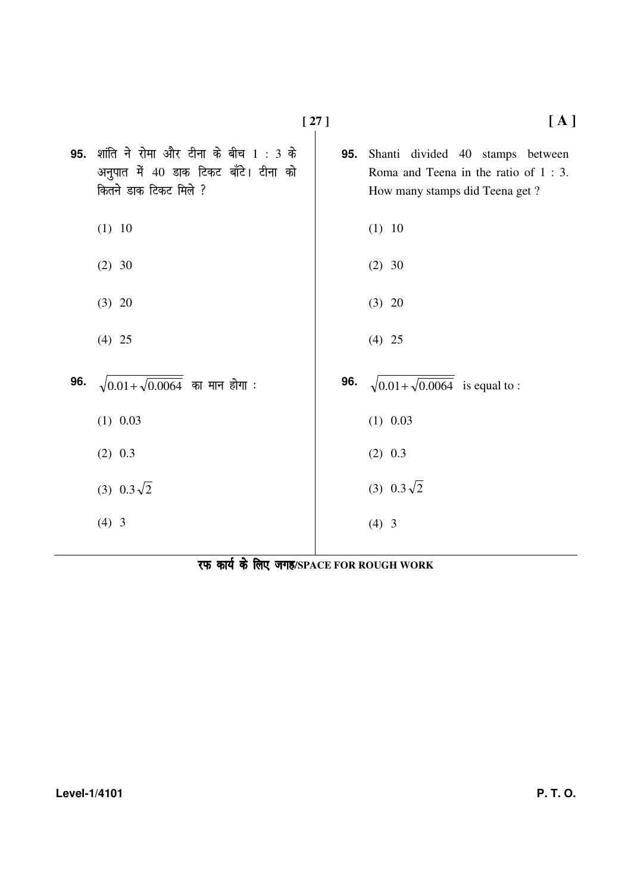|     |                                                                                                        | $[27]$ | [A]                                                                                                           |
|-----|--------------------------------------------------------------------------------------------------------|--------|---------------------------------------------------------------------------------------------------------------|
| 95. | शांति ने रोमा और टीना के बीच 1: 3 के<br>अनुपात में 40 डाक टिकट बाँटे। टीना को<br>कितने डाक टिकट मिले ? | 95.    | Shanti divided 40 stamps between<br>Roma and Teena in the ratio of $1:3$ .<br>How many stamps did Teena get ? |
|     | (1) 10                                                                                                 |        | (1) 10                                                                                                        |
|     | $(2)$ 30                                                                                               |        | $(2)$ 30                                                                                                      |
|     | $(3)$ 20                                                                                               |        | $(3)$ 20                                                                                                      |
|     | $(4)$ 25                                                                                               |        | $(4)$ 25                                                                                                      |
| 96. | $\sqrt{0.01 + \sqrt{0.0064}}$ का मान होगा:                                                             | 96.    | $\sqrt{0.01 + \sqrt{0.0064}}$ is equal to :                                                                   |
|     | $(1)$ 0.03                                                                                             |        | $(1)$ 0.03                                                                                                    |
|     | $(2)$ 0.3                                                                                              |        | $(2)$ 0.3                                                                                                     |
|     | (3) $0.3\sqrt{2}$                                                                                      |        | (3) $0.3\sqrt{2}$                                                                                             |
|     | $(4)$ 3                                                                                                |        | $(4)$ 3                                                                                                       |
|     |                                                                                                        |        |                                                                                                               |

रफ कार्य के लिए जगह/SPACE FOR ROUGH WORK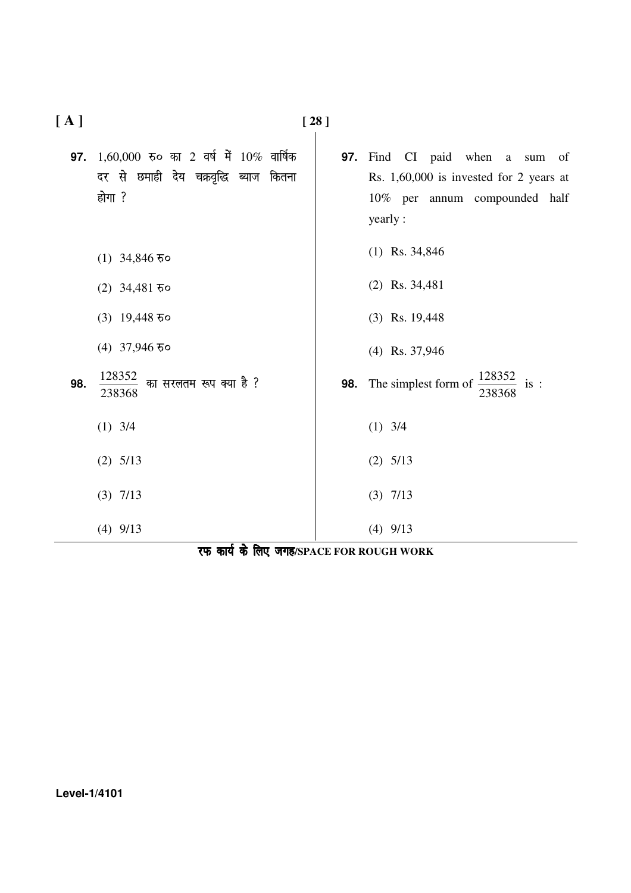| [A] |                                                                                                  | $[28]$ |                                                                                                                                   |
|-----|--------------------------------------------------------------------------------------------------|--------|-----------------------------------------------------------------------------------------------------------------------------------|
| 97. | $1,60,000$ रुं० का 2 वर्ष में $10\%$ वार्षिक<br>दर से छमाही देय चक्रवृद्धि ब्याज कितना<br>होगा ? | 97.    | Find CI paid when a sum<br><sub>of</sub><br>Rs. $1,60,000$ is invested for 2 years at<br>10% per annum compounded half<br>yearly: |
|     | (1) 34,846 $\overline{5}$ o                                                                      |        | $(1)$ Rs. 34,846                                                                                                                  |
|     | (2) $34,481$ $50$                                                                                |        | $(2)$ Rs. 34,481                                                                                                                  |
|     | $(3)$ 19,448 $\overline{5}$ o                                                                    |        | $(3)$ Rs. 19,448                                                                                                                  |
|     | $(4)$ 37,946 $\overline{5}$ o                                                                    |        | $(4)$ Rs. 37,946                                                                                                                  |
| 98. | 128352<br>का सरलतम रूप क्या है ?<br>238368                                                       |        | 128352<br>98. The simplest form of<br>is:<br>238368                                                                               |
|     | $(1)$ 3/4                                                                                        |        | $(1)$ 3/4                                                                                                                         |
|     | $(2)$ 5/13                                                                                       |        | $(2)$ 5/13                                                                                                                        |
|     | $(3)$ 7/13                                                                                       |        | $(3)$ 7/13                                                                                                                        |
|     | $(4)$ 9/13                                                                                       |        | $(4)$ 9/13                                                                                                                        |

|  |  |  | रफ कार्य के लिए जगह/SPACE FOR ROUGH WORK |  |
|--|--|--|------------------------------------------|--|
|--|--|--|------------------------------------------|--|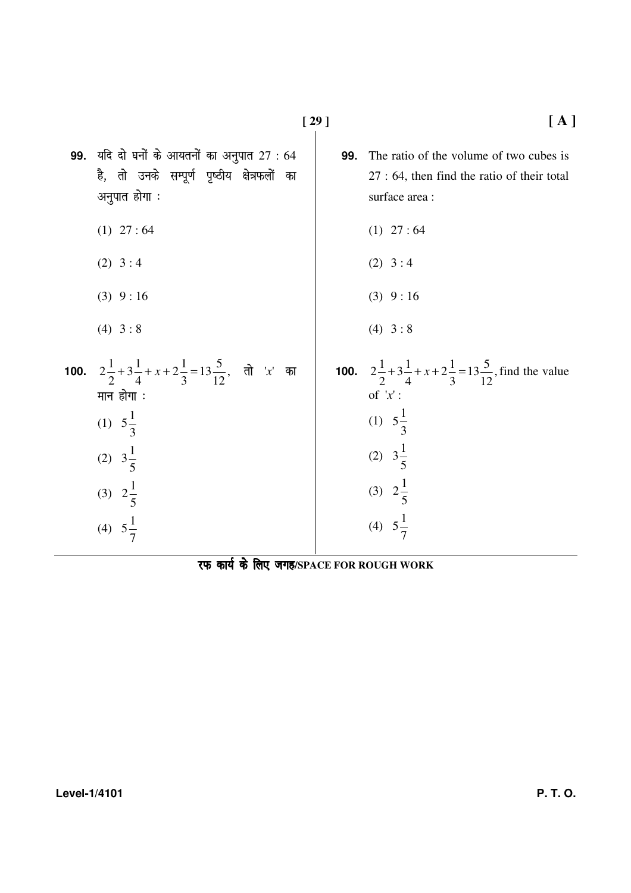**99.** यदि दो घनों के आयतनों का अनुपात 27 : 64 .<br>है, तो उनके सम्पूर्ण पृष्ठीय क्षेत्रफलों का अनुपात होगा $:$  $(1)$  27 : 64  $(2)$  3 : 4  $(3)$  9 : 16  $(4)$  3 : 8 **99.** The ratio of the volume of two cubes is 27 : 64, then find the ratio of their total surface area :  $(1)$  27 : 64  $(2)$  3 : 4  $(3)$  9 : 16  $(4)$  3 : 8 **100.**  $2\frac{1}{2}+3\frac{1}{4}+x+2\frac{1}{2}=13\frac{3}{12}$ 12  $13\frac{5}{13}$ 3  $2\frac{1}{2}$ 4  $3\frac{1}{4}$ 2  $2\frac{1}{2}+3\frac{1}{4}+x+2\frac{1}{2}=13\frac{5}{12}$ , तो 'x' का मान $\sin$ : (1) 3  $5\frac{1}{2}$ (2) 5  $3\frac{1}{7}$ (3) 5  $2\frac{1}{5}$ (4)  $5\frac{1}{7}$ **100.**  $2\frac{1}{2}+3\frac{1}{4}+x+2\frac{1}{2}=13\frac{3}{12}$ 12  $13\frac{5}{13}$ 3  $2\frac{1}{2}$ 4  $3\frac{1}{4}$ 2  $2\frac{1}{2} + 3\frac{1}{2} + x + 2\frac{1}{2} = 13\frac{5}{12}$ , find the value of '*x*' : (1) 3  $5\frac{1}{2}$ (2) 5  $3\frac{1}{7}$ (3) 5  $2\frac{1}{5}$ (4) 7  $5\frac{1}{7}$ 

रफ कार्य के लिए जगह/SPACE FOR ROUGH WORK

7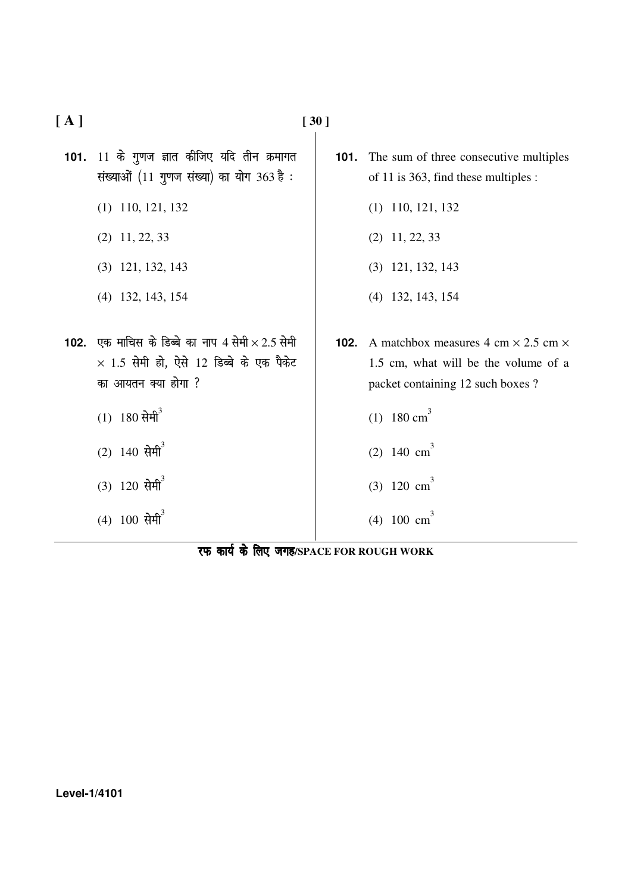101. 11 के गुणज ज्ञात कीजिए यदि तीन क्रमागत संख्याओं (11 गुणज संख्या) का योग 363 है: (1) 110, 121, 132 (2) 11, 22, 33 (3) 121, 132, 143 (4) 132, 143, 154 (1) 110, 121, 132 (2) 11, 22, 33 (3) 121, 132, 143 (4) 132, 143, 154 **102.** एक माचिस के डिब्बे का नाप 4 सेमी  $\times$  2.5 सेमी  $\times$  1.5 सेमी हो, ऐसे 12 डिब्बे के एक पैकेट का आयतन क्या होगा ?  $(1)$  180 सेमी $^3$ (1) 180 cm<sup>3</sup> (2) 140  $cm^3$ 

> (3) 120  $cm^3$ (4) 100  $\text{cm}^3$

> > रफ कार्य के लिए जगह/SPACE FOR ROUGH WORK

$$
[30]
$$

# **[ A ] [ 30 ]**

- $(2)$  140 सेमी<sup>3</sup>
- $(3)$  120 सेमी $3$
- $(4)$  100 सेमी<sup>3</sup>

**101.** The sum of three consecutive multiples of 11 is 363, find these multiples :

- **102.** A matchbox measures  $4 \text{ cm} \times 2.5 \text{ cm} \times$ 1.5 cm, what will be the volume of a packet containing 12 such boxes ?
	-
	-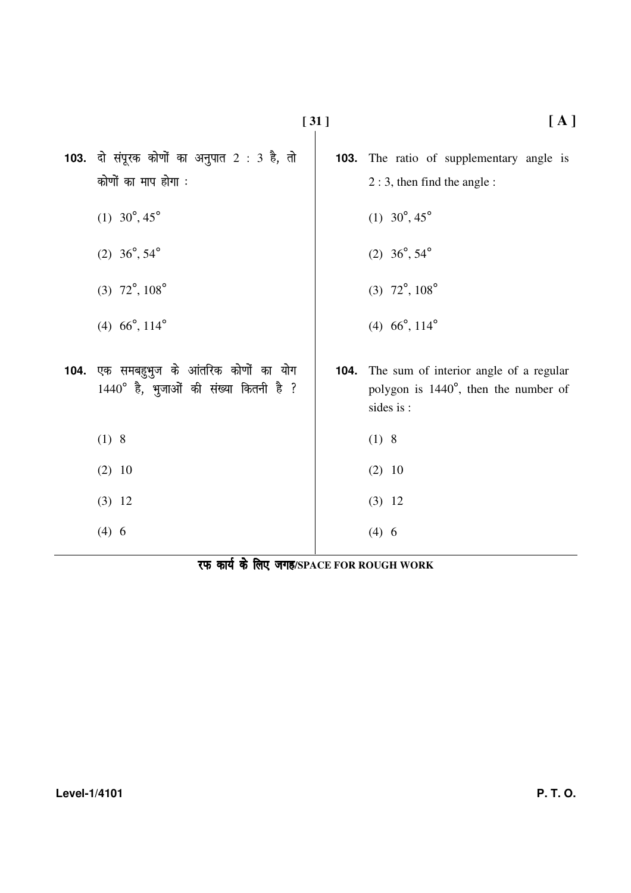|      | <b>103.</b> दो संपूरक कोणों का अनुपात 2 : 3 है, तो<br>कोणों का माप होगा :          |      | <b>103.</b> The ratio of supplementary angle is<br>$2:3$ , then find the angle:              |
|------|------------------------------------------------------------------------------------|------|----------------------------------------------------------------------------------------------|
|      | (1) $30^{\circ}, 45^{\circ}$                                                       |      | (1) $30^{\circ}, 45^{\circ}$                                                                 |
|      | (2) $36^\circ, 54^\circ$                                                           |      | (2) $36^{\circ}, 54^{\circ}$                                                                 |
|      | $(3)$ 72°, 108°                                                                    |      | $(3)$ 72°, 108°                                                                              |
|      | (4) $66^\circ$ , $114^\circ$                                                       |      | (4) $66^\circ$ , $114^\circ$                                                                 |
| 104. | एक समबहुभुज के आंतरिक कोणों का योग<br>$1440^\circ$ है, भुजाओं की संख्या कितनी है ? | 104. | The sum of interior angle of a regular<br>polygon is 1440°, then the number of<br>sides is : |
|      | (1) 8                                                                              |      | (1) 8                                                                                        |
|      | $(2)$ 10                                                                           |      | $(2)$ 10                                                                                     |
|      | $(3)$ 12                                                                           |      | $(3)$ 12                                                                                     |
|      | (4) 6                                                                              |      | (4) 6                                                                                        |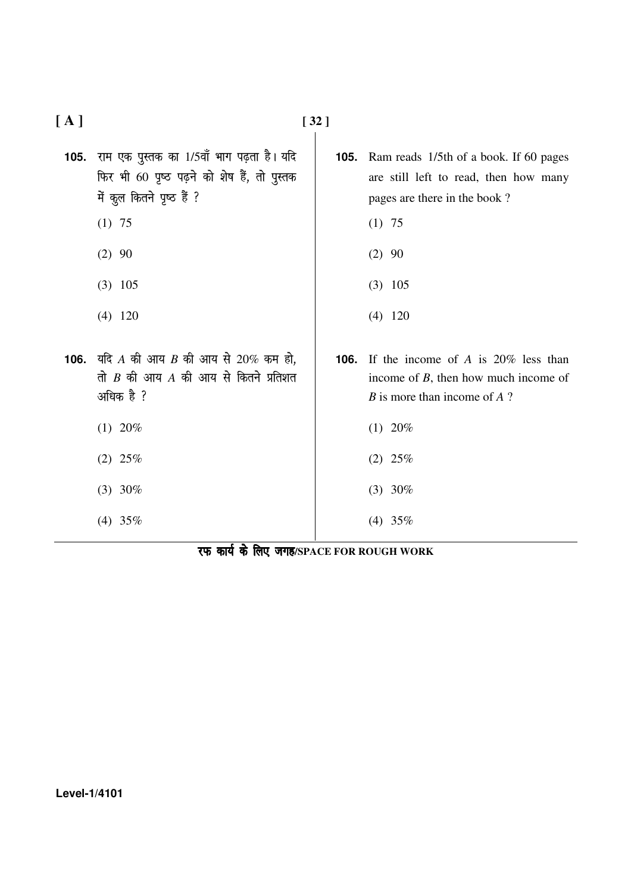| [A]  |                                                                                                                       | $[32]$ |                                                                                                                  |  |  |
|------|-----------------------------------------------------------------------------------------------------------------------|--------|------------------------------------------------------------------------------------------------------------------|--|--|
| 105. | राम एक पुस्तक का 1/5वाँ भाग पढ़ता है। यदि<br>फिर भी 60 पृष्ठ पढ़ने को शेष हैं, तो पुस्तक<br>में कुल कितने पृष्ठ हैं ? | 105.   | Ram reads 1/5th of a book. If 60 pages<br>are still left to read, then how many<br>pages are there in the book?  |  |  |
|      | $(1)$ 75                                                                                                              |        | $(1)$ 75                                                                                                         |  |  |
|      | $(2)$ 90                                                                                                              |        | $(2)$ 90                                                                                                         |  |  |
|      | $(3)$ 105                                                                                                             |        | $(3)$ 105                                                                                                        |  |  |
|      | $(4)$ 120                                                                                                             |        | $(4)$ 120                                                                                                        |  |  |
|      | 106. यदि A की आय B की आय से 20% कम हो,<br>तो $B$ की आय $A$ की आय से कितने प्रतिशत<br>अधिक है ?                        | 106.   | If the income of A is $20\%$ less than<br>income of $B$ , then how much income of<br>B is more than income of A? |  |  |
|      | $(1)$ 20%                                                                                                             |        | $(1)$ 20%                                                                                                        |  |  |
|      | $(2)$ 25%                                                                                                             |        | $(2)$ 25%                                                                                                        |  |  |
|      | $(3)$ 30%                                                                                                             |        | $(3)$ 30%                                                                                                        |  |  |
|      | $(4)$ 35%                                                                                                             |        | $(4)$ 35%                                                                                                        |  |  |
|      | .                                                                                                                     |        |                                                                                                                  |  |  |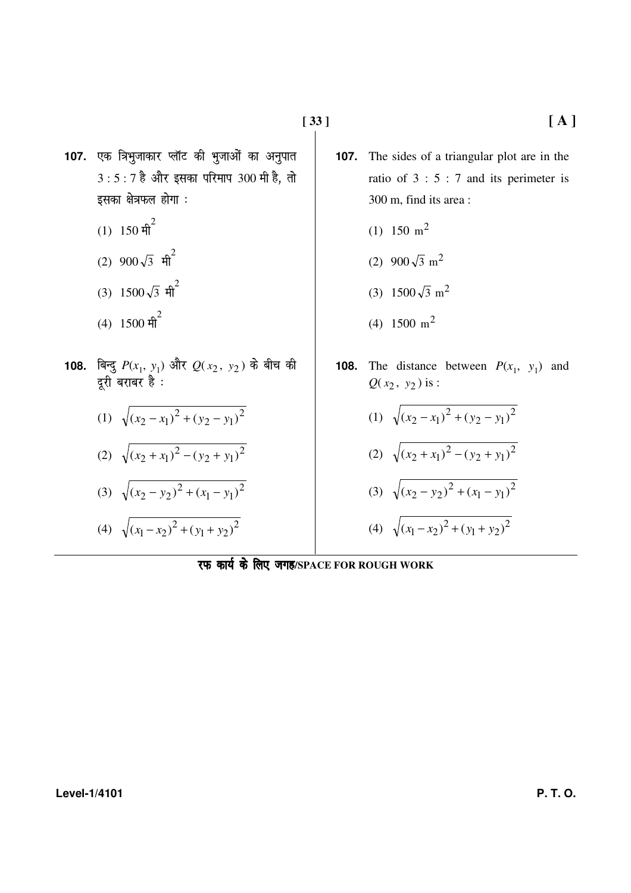- 107. एक त्रिभुजाकार प्लॉट की भुजाओं का अनुपात  $3:5:7$  है और इसका परिमाप  $300$  मी है, तो इसका क्षेत्रफल होगा $:$ 
	- $(1)$  150 मी $^{2}$
	- $(2)$  900 $\sqrt{3}$  मी<sup>2</sup>
	- (3)  $1500\sqrt{3}$  मी<sup>2</sup>
	- $(4)$  1500 मी<sup>2</sup>
- **108.** बिन्दु  $P(x_1, y_1)$  और  $Q(x_2, y_2)$  के बीच की दूरी बराबर है :

(1) 
$$
\sqrt{(x_2 - x_1)^2 + (y_2 - y_1)^2}
$$

(2) 
$$
\sqrt{(x_2 + x_1)^2 - (y_2 + y_1)^2}
$$

$$
(3) \sqrt{(x_2 - y_2)^2 + (x_1 - y_1)^2}
$$

(4)  $\sqrt{(x_1 - x_2)^2 + (y_1 + y_2)^2}$ 2  $(x_1 - x_2)^2 + (y_1 + y_2)$ 

- **107.** The sides of a triangular plot are in the ratio of 3 : 5 : 7 and its perimeter is 300 m, find its area :
	- (1) 150  $m^2$
	- (2)  $900\sqrt{3} \text{ m}^2$
	- (3)  $1500\sqrt{3}$  m<sup>2</sup>
	- (4)  $1500 \text{ m}^2$
- **108.** The distance between  $P(x_1, y_1)$  and  $Q(x_2, y_2)$  is :
	- (1)  $\sqrt{(x_2 x_1)^2 + (y_2 y_1)^2}$ 2  $(x_2 - x_1)^2 + (y_2 - y_1)^2$

(2) 
$$
\sqrt{(x_2 + x_1)^2 - (y_2 + y_1)^2}
$$

$$
(3) \ \sqrt{(x_2 - y_2)^2 + (x_1 - y_1)^2}
$$

(4)  $\sqrt{(x_1 - x_2)^2 + (y_1 + y_2)^2}$ 2  $(x_1 - x_2)^2 + (y_1 + y_2)$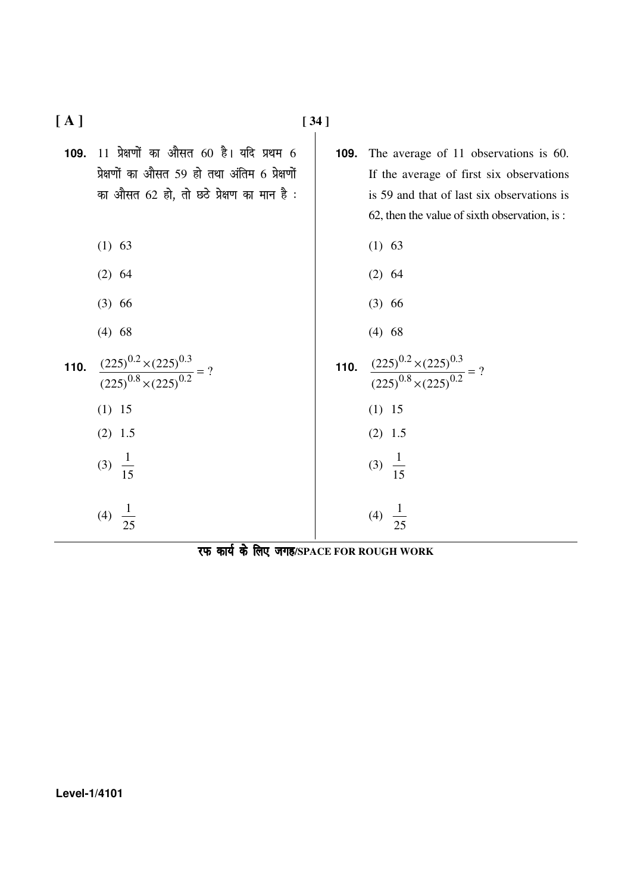| [A]  |                                                                                                                                       | $[34]$ |                                                                                                                                                                                 |
|------|---------------------------------------------------------------------------------------------------------------------------------------|--------|---------------------------------------------------------------------------------------------------------------------------------------------------------------------------------|
| 109. | 11 प्रेक्षणों का औसत 60 है। यदि प्रथम 6<br>प्रेक्षणों का औसत 59 हो तथा अंतिम 6 प्रेक्षणों<br>का औसत 62 हो, तो छठे प्रेक्षण का मान है: | 109.   | The average of 11 observations is 60.<br>If the average of first six observations<br>is 59 and that of last six observations is<br>62, then the value of sixth observation, is: |
|      | $(1)$ 63                                                                                                                              |        | $(1)$ 63                                                                                                                                                                        |
|      | $(2)$ 64                                                                                                                              |        | $(2)$ 64                                                                                                                                                                        |
|      | $(3)$ 66                                                                                                                              |        | $(3)$ 66                                                                                                                                                                        |
|      | $(4)$ 68                                                                                                                              |        | $(4)$ 68                                                                                                                                                                        |
| 110. | $\frac{(225)^{0.2} \times (225)^{0.3}}{(225)^{0.8} \times (225)^{0.2}} = ?$                                                           |        | <b>110.</b> $\frac{(225)^{0.2} \times (225)^{0.3}}{(225)^{0.8} \times (225)^{0.2}} = ?$                                                                                         |
|      | $(1)$ 15                                                                                                                              |        | $(1)$ 15                                                                                                                                                                        |
|      | $(2)$ 1.5                                                                                                                             |        | $(2)$ 1.5                                                                                                                                                                       |
|      | (3) $\frac{1}{15}$                                                                                                                    |        | (3) $\frac{1}{15}$                                                                                                                                                              |
|      | $\frac{1}{25}$<br>(4)                                                                                                                 |        | (4)                                                                                                                                                                             |

रफ कार्य के लिए जगह/SPACE FOR ROUGH WORK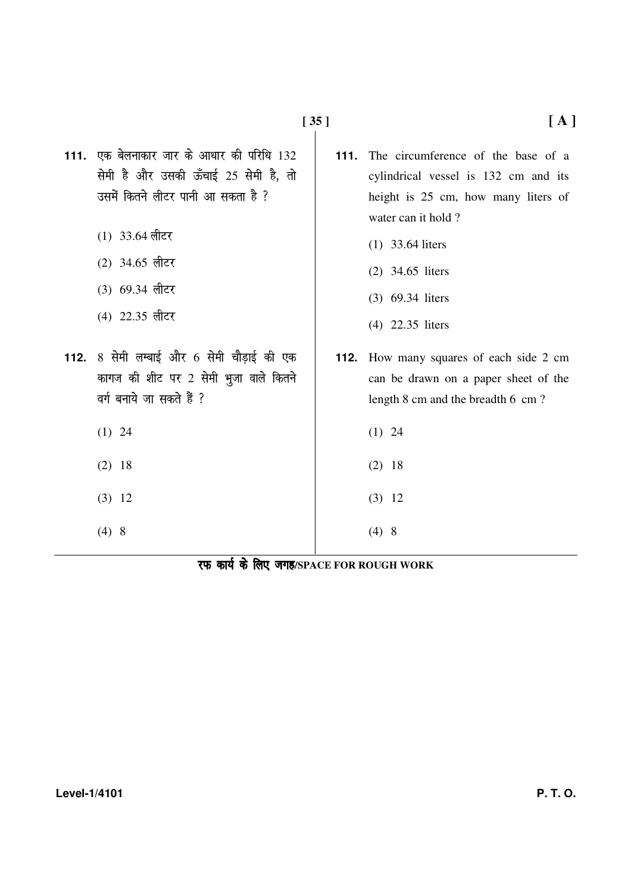| 8 सेमी लम्बाई और 6 सेमी चौड़ाई की एक<br>112.<br>112. How many squares of each side 2 cm<br>कागज की शीट पर 2 सेमी भुजा वाले कितने<br>can be drawn on a paper sheet of the<br>वर्ग बनाये जा सकते हैं ?<br>length 8 cm and the breadth 6 cm ?<br>$(1)$ 24<br>$(1)$ 24<br>$(2)$ 18<br>$(2)$ 18<br>$(3)$ 12<br>$(3)$ 12 |  | 111. एक बेलनाकार जार के आधार की परिधि 132<br>सेमी है और उसकी ऊँचाई 25 सेमी है, तो<br>उसमें कितने लीटर पानी आ सकता है ?<br>$(1)$ 33.64 लीटर<br>$(2)$ 34.65 लीटर<br>$(3)$ 69.34 लीटर<br>(4) 22.35 लीटर | 111. | The circumference of the base of a<br>cylindrical vessel is 132 cm and its<br>height is 25 cm, how many liters of<br>water can it hold?<br>$(1)$ 33.64 liters<br>$(2)$ 34.65 liters<br>(3) 69.34 liters<br>(4) 22.35 liters |
|--------------------------------------------------------------------------------------------------------------------------------------------------------------------------------------------------------------------------------------------------------------------------------------------------------------------|--|------------------------------------------------------------------------------------------------------------------------------------------------------------------------------------------------------|------|-----------------------------------------------------------------------------------------------------------------------------------------------------------------------------------------------------------------------------|
|                                                                                                                                                                                                                                                                                                                    |  |                                                                                                                                                                                                      |      |                                                                                                                                                                                                                             |
|                                                                                                                                                                                                                                                                                                                    |  |                                                                                                                                                                                                      |      |                                                                                                                                                                                                                             |
|                                                                                                                                                                                                                                                                                                                    |  |                                                                                                                                                                                                      |      |                                                                                                                                                                                                                             |
|                                                                                                                                                                                                                                                                                                                    |  |                                                                                                                                                                                                      |      |                                                                                                                                                                                                                             |
|                                                                                                                                                                                                                                                                                                                    |  |                                                                                                                                                                                                      |      |                                                                                                                                                                                                                             |
|                                                                                                                                                                                                                                                                                                                    |  | (4)8                                                                                                                                                                                                 |      | (4)8                                                                                                                                                                                                                        |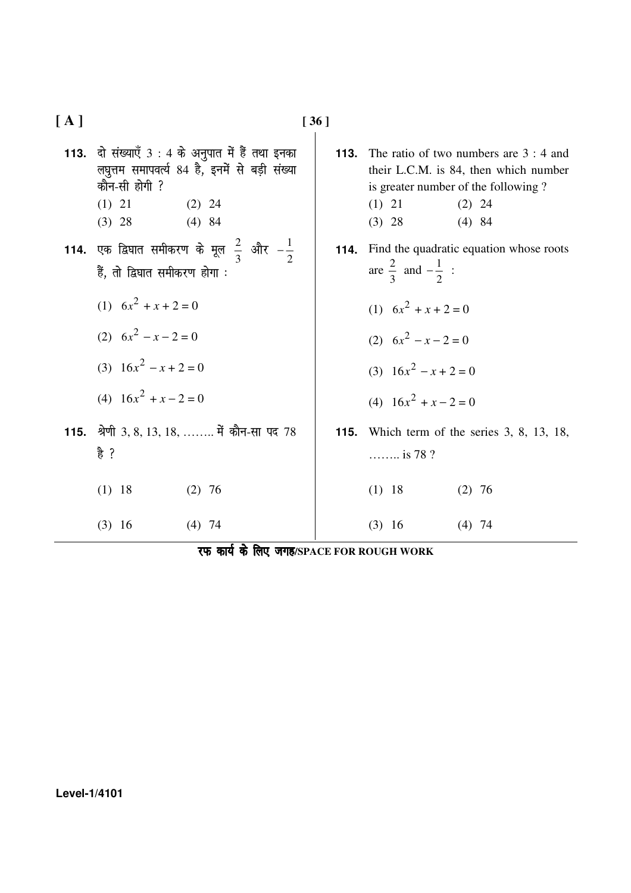**[ A ] [ 36 ]**  113. दो संख्याएँ 3 : 4 के अनुपात में हैं तथा इनका लघुत्तम समापवर्त्य 84 है, इनमें से बड़ी संख्या कौन-सी होगी ?  $(1)$  21  $(2)$  24 (3) 28 (4) 84 **113.** The ratio of two numbers are 3 : 4 and their L.C.M. is 84, then which number is greater number of the following ?  $(1)$  21  $(2)$  24 (3) 28 (4) 84 **114.** एक द्विघात समीकरण के मूल  $\frac{2}{3}$  $rac{2}{3}$  और  $-\frac{1}{2}$ 1 − हैं, तो द्विघात समीकरण होगा : (1)  $6x^2 + x + 2 = 0$ (2)  $6x^2 - x - 2 = 0$ (3)  $16x^2 - x + 2 = 0$ (4)  $16x^2 + x - 2 = 0$  **114.** Find the quadratic equation whose roots are 3  $\frac{2}{3}$  and 2  $-\frac{1}{2}$  : (1)  $6x^2 + x + 2 = 0$ (2)  $6x^2 - x - 2 = 0$ (3)  $16x^2 - x + 2 = 0$ (4)  $16x^2 + x - 2 = 0$ 115. श्रेणी 3, 8, 13, 18, …….. में कौन-सा पद 78  $\frac{2}{5}$  ?  $(1)$  18  $(2)$  76 (3) 16 (4) 74 **115.** Which term of the series 3, 8, 13, 18, …….. is 78 ?  $(1)$  18  $(2)$  76 (3) 16 (4) 74

|  |  |  |  | रफ कार्य के लिए जगह/SPACE FOR ROUGH WORK |  |
|--|--|--|--|------------------------------------------|--|
|--|--|--|--|------------------------------------------|--|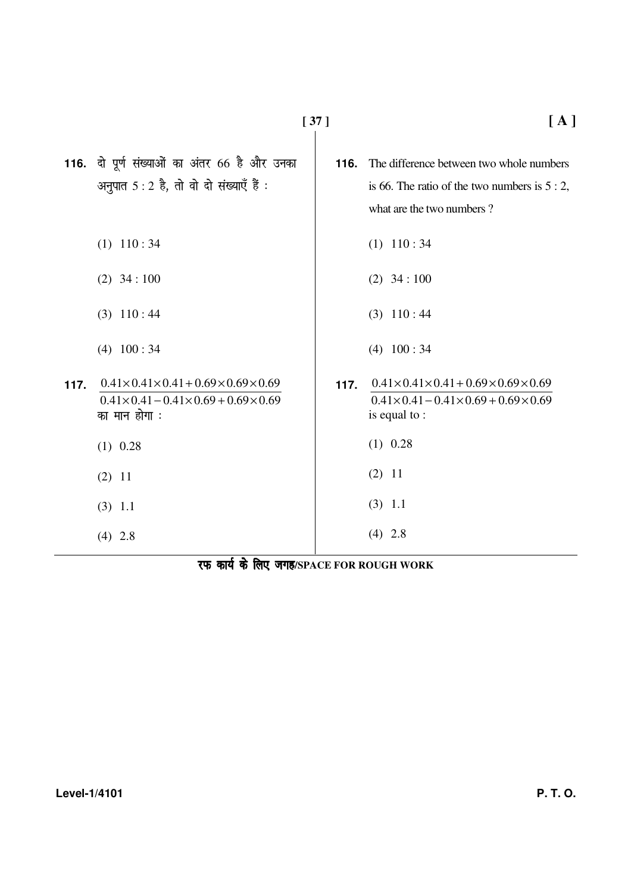|      | 116. दो पूर्ण संख्याओं का अंतर 66 है और उनका<br>अनुपात 5 : 2 है, तो वो दो संख्याएँ हैं :                                                   | 116. | The difference between two whole numbers<br>is 66. The ratio of the two numbers is $5:2$ ,<br>what are the two numbers?          |
|------|--------------------------------------------------------------------------------------------------------------------------------------------|------|----------------------------------------------------------------------------------------------------------------------------------|
|      | $(1)$ 110:34                                                                                                                               |      | $(1)$ 110:34                                                                                                                     |
|      | $(2)$ 34 : 100                                                                                                                             |      | $(2)$ 34 : 100                                                                                                                   |
|      | $(3)$ 110:44                                                                                                                               |      | $(3)$ 110:44                                                                                                                     |
|      | $(4)$ 100 : 34                                                                                                                             |      | $(4)$ 100:34                                                                                                                     |
| 117. | $0.41 \times 0.41 \times 0.41 + 0.69 \times 0.69 \times 0.69$<br>$0.41 \times 0.41 - 0.41 \times 0.69 + 0.69 \times 0.69$<br>का मान होगा : | 117. | $0.41 \times 0.41 \times 0.41 + 0.69 \times 0.69 \times 0.69$<br>$0.41\times0.41-0.41\times0.69+0.69\times0.69$<br>is equal to : |
|      | $(1)$ 0.28                                                                                                                                 |      | $(1)$ 0.28                                                                                                                       |
|      | $(2)$ 11                                                                                                                                   |      | $(2)$ 11                                                                                                                         |
|      | $(3)$ 1.1                                                                                                                                  |      | $(3)$ 1.1                                                                                                                        |
|      | $(4)$ 2.8                                                                                                                                  |      | $(4)$ 2.8                                                                                                                        |
|      |                                                                                                                                            |      |                                                                                                                                  |

 $\mathbf{I}$ 

**[ 37 ] [ A ]**

रफ कार्य के लिए जगह/SPACE FOR ROUGH WORK

**Level-1/4101 P. T. O.**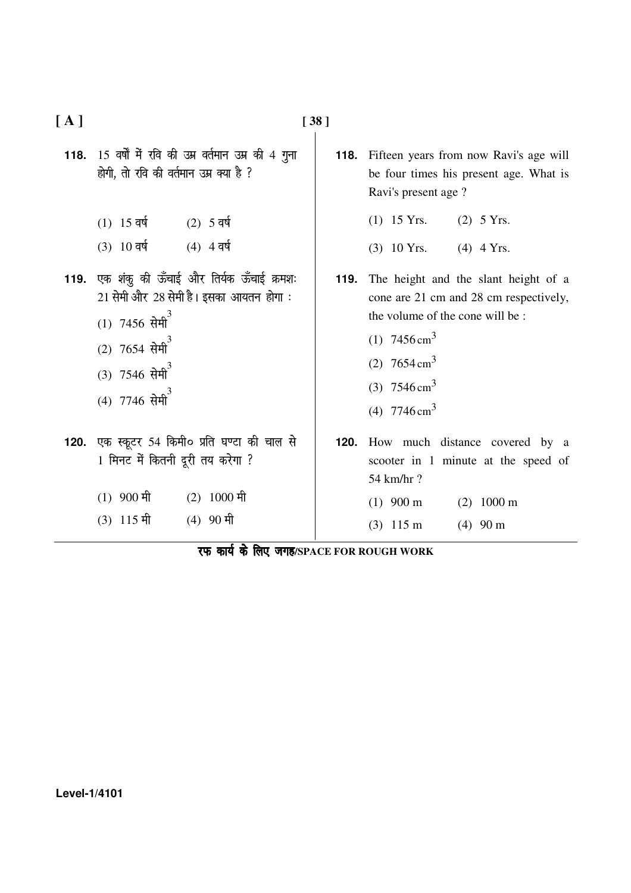| [A]  |                                                                                                                                                                            | $[38]$ |                                                                                                                                                                                                                               |
|------|----------------------------------------------------------------------------------------------------------------------------------------------------------------------------|--------|-------------------------------------------------------------------------------------------------------------------------------------------------------------------------------------------------------------------------------|
|      | 118. 15 वर्षों में रवि की उम्र वर्तमान उम्र की 4 गुना<br>होगी, तो रवि की वर्तमान उम्र क्या है ?                                                                            |        | <b>118.</b> Fifteen years from now Ravi's age will<br>be four times his present age. What is<br>Ravi's present age?                                                                                                           |
|      | $(1)$ 15 वर्ष<br>(2) 5 वर्ष<br>$(3)$ 10 वर्ष<br>$(4)$ 4 वर्ष                                                                                                               |        | $(1)$ 15 Yrs.<br>$(2)$ 5 Yrs.<br>$(3)$ 10 Yrs.<br>$(4)$ 4 Yrs.                                                                                                                                                                |
| 119. | एक शंकु की ऊँचाई और तिर्यक ऊँचाई क्रमशः<br>21 सेमी और 28 सेमी है। इसका आयतन होगा:<br>$(1)$ 7456 सेमी <sup>3</sup><br>$(2)$ 7654 सेमी<br>$(3)$ 7546 सेमी<br>$(4)$ 7746 सेमी | 119.   | The height and the slant height of a<br>cone are 21 cm and 28 cm respectively,<br>the volume of the cone will be:<br>(1) $7456 \text{ cm}^3$<br>(2) $7654 \text{ cm}^3$<br>(3) $7546 \text{ cm}^3$<br>(4) $7746 \text{ cm}^3$ |
| 120. | एक स्कूटर 54 किमी० प्रति घण्टा की चाल से<br>1 मिनट में कितनी दूरी तय करेगा ?<br>$(2)$ 1000 मी<br>$(1)$ 900 मी                                                              | 120.   | How much distance covered by a<br>scooter in 1 minute at the speed of<br>54 km/hr?<br>$(1)$ 900 m<br>$(2)$ 1000 m                                                                                                             |
|      | $(3)$ 115 मी<br>$(4)$ 90 मी<br>$\pi$ and $\frac{1}{2}$ $\frac{6\pi}{6}$ $\pi\pi$ (or top pough we                                                                          |        | $(3)$ 115 m<br>$(4)$ 90 m                                                                                                                                                                                                     |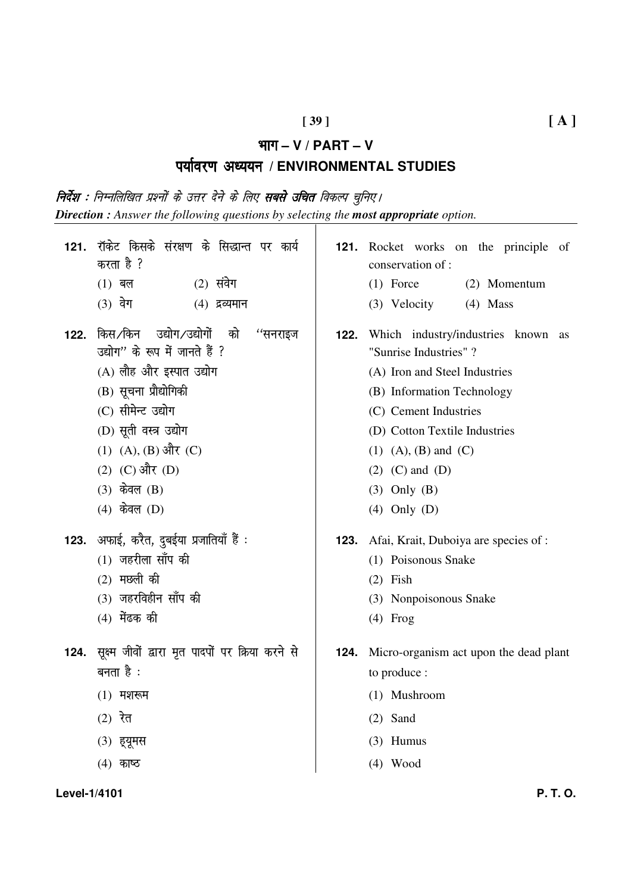## $[39]$

#### भाग  $-$  V / PART  $-$  V

# पर्यावरण अध्ययन / ENVIRONMENTAL STUDIES

**निर्देश :** निम्नलिखित प्रश्नों के उत्तर देने के लिए **सबसे उचित** विकल्प चुनिए। **Direction**: Answer the following questions by selecting the **most appropriate** option.

| 121. | रॉकेट किसके संरक्षण के सिद्धान्त पर कार्य<br>करता है ?                                                                                                                                                               | 121. | Rocket ·<br>conservat                                                                                      |
|------|----------------------------------------------------------------------------------------------------------------------------------------------------------------------------------------------------------------------|------|------------------------------------------------------------------------------------------------------------|
|      | $(2)$ संवेग<br>$(1)$ बल                                                                                                                                                                                              |      | $(1)$ Force                                                                                                |
|      | $(3)$ वेग<br>$(4)$ द्रव्यमान                                                                                                                                                                                         |      | $(3)$ Velo                                                                                                 |
| 122. | किस∕किन उद्योग/उद्योगों को ''सनराइज<br>उद्योग" के रूप में जानते हैं ?<br>(A) लौह और इस्पात उद्योग<br>(B) सूचना प्रौद्योगिकी<br>(C) सीमेन्ट उद्योग<br>(D) सूती वस्त्र उद्योग<br>(1) (A), (B) और (C)<br>(2) (C) और (D) | 122. | Which i<br>"Sunrise<br>$(A)$ Iron<br>(B) Infor<br>$(C)$ Cem<br>(D) Cotto<br>$(1)$ $(A)$ ,<br>$(2)$ $(C)$ a |
|      | $(3)$ केवल $(B)$                                                                                                                                                                                                     |      | $(3)$ Only                                                                                                 |
|      | $(4)$ केवल $(D)$                                                                                                                                                                                                     |      | $(4)$ Only                                                                                                 |
|      | 123. अफाई, करैत, दुबईया प्रजातियाँ हैं :                                                                                                                                                                             |      | <b>123.</b> Afai, Kra                                                                                      |
|      | $(1)$ जहरीला साँप की                                                                                                                                                                                                 |      | $(1)$ Poiso                                                                                                |
|      | $(2)$ मछली की                                                                                                                                                                                                        |      | $(2)$ Fish                                                                                                 |
|      | (3) जहरविहीन साँप की                                                                                                                                                                                                 |      | $(3)$ Nonp                                                                                                 |
|      | $(4)$ मेंढक की                                                                                                                                                                                                       |      | $(4)$ Frog                                                                                                 |
|      | 124. सूक्ष्म जीवों द्वारा मृत पादपों पर क्रिया करने से                                                                                                                                                               | 124. | Micro-org                                                                                                  |
|      | बनता है :                                                                                                                                                                                                            |      | to produc                                                                                                  |
|      | $(1)$ मशरूम                                                                                                                                                                                                          |      | $(1)$ Musl                                                                                                 |
|      | $(2)$ रेत                                                                                                                                                                                                            |      | $(2)$ Sand                                                                                                 |
|      | (3) ह्यूमस                                                                                                                                                                                                           |      | $(3)$ Hum                                                                                                  |
|      | $(4)$ काष्ठ                                                                                                                                                                                                          |      | $(4)$ Woo                                                                                                  |
|      |                                                                                                                                                                                                                      |      |                                                                                                            |

- works on the principle of  $tion of:$  $\mathbf{e}$ (2) Momentum
- ocity  $(4)$  Mass
- industry/industries known as Industries"?
	- and Steel Industries
	- mation Technology
	- ent Industries
	- on Textile Industries
	- $(B)$  and  $(C)$
	- and  $(D)$
	- $(B)$
	- $(D)$
- it, Duboiya are species of :
	- onous Snake
	- poisonous Snake
- ganism act upon the dead plant  $e$ :
	- hroom
	- ius
	- d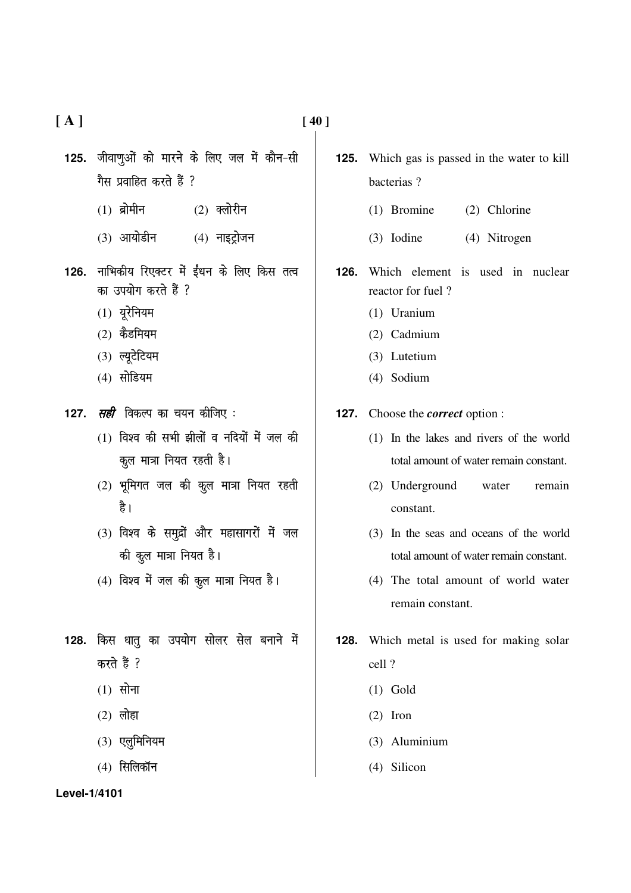**[ A ] [ 40 ]** 

- 125. जीवाणुओं को मारने के लिए जल में कौन-सी गैस प्रवाहित करते हैं ?
	- $(1)$  ब्रोमीन  $(2)$  क्लोरीन
	- $(3)$  आयोडीन  $(4)$  नाइट्रोजन
- 126. नाभिकीय रिएक्टर में ईंधन के लिए किस तत्व का उपयोग करते हैं ?
	- $(1)$  यूरेनियम
	- $(2)$  कैडमियम
	- $(3)$  ल्युटेटियम
	- $(4)$  सोडियम
- 127. *सही* विकल्प का चयन कीजिए :
	- $(1)$  विश्व की सभी झीलों व नदियों में जल की कूल मात्रा नियत रहती है।
	- $(2)$  भूमिगत जल की कूल मात्रा नियत रहती है।
	- $(3)$  विश्व के समुद्रों और महासागरों में जल की कूल मात्रा नियत है।
	- $(4)$  विश्व में जल की क़ूल मात्रा नियत है।
- 128. किस धातु का उपयोग सोलर सेल बनाने में करते हैं ?
	- $(1)$  सोना
	- $(2)$  लोहा
	- $(3)$  एलुमिनियम
	- $(4)$  सिलिकॉन
- **125.** Which gas is passed in the water to kill bacterias ?
	- (1) Bromine (2) Chlorine
	- (3) Iodine (4) Nitrogen
- **126.** Which element is used in nuclear reactor for fuel ?
	- (1) Uranium
	- (2) Cadmium
	- (3) Lutetium
	- (4) Sodium

**127.** Choose the *correct* option :

- (1) In the lakes and rivers of the world total amount of water remain constant.
- (2) Underground water remain constant.
- (3) In the seas and oceans of the world total amount of water remain constant.
- (4) The total amount of world water remain constant.
- **128.** Which metal is used for making solar cell ?
	- (1) Gold
	- (2) Iron
	- (3) Aluminium
	- (4) Silicon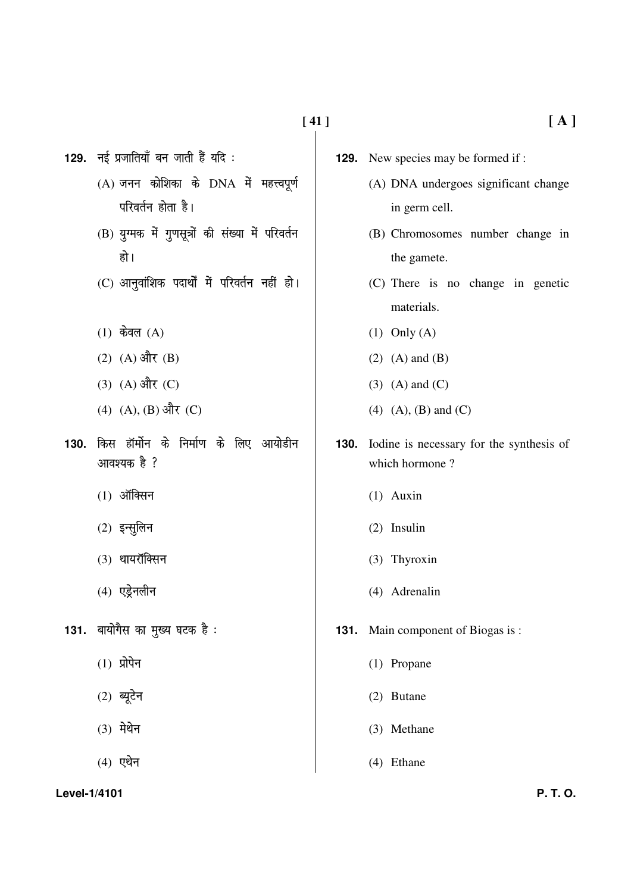129. नई प्रजातियाँ बन जाती हैं यदि:

- $(A)$  जनन कोशिका के  $DNA$  में महत्त्वपूर्ण परिवर्तन होता है।
- (B) युग्मक में गुणसूत्रों की संख्या में परिवर्तन हो ।
- (C) आनुवांशिक पदार्थों में परिवर्तन नहीं हो।
- $(1)$  केवल  $(A)$
- $(2)$   $(A)$  और  $(B)$
- $(3)$   $(A)$  और  $(C)$
- $(4)$   $(A), (B)$  और  $(C)$
- 130. किस हॉर्मोन के निर्माण के लिए आयोडीन आवश्यक है ?
	- $(1)$  ऑक्सिन
	- $(2)$  इन्सुलिन
	- (3) थायरॉक्सिन
	- $(4)$  एड्रेनलीन
- 131. बायोगैस का मुख्य घटक है:
	- $(1)$  प्रोपेन
	- $(2)$  ब्यूटेन
	- $(3)$  मेथेन
	- $(4)$  एथेन
- (A) DNA undergoes significant change in germ cell.
- (B) Chromosomes number change in the gamete.
- (C) There is no change in genetic materials.
- $(1)$  Only  $(A)$
- $(2)$   $(A)$  and  $(B)$
- $(3)$  (A) and  $(C)$
- $(4)$   $(A)$ ,  $(B)$  and  $(C)$
- 130. Iodine is necessary for the synthesis of which hormone?
	- $(1)$  Auxin
	- $(2)$  Insulin
	- (3) Thyroxin
	- (4) Adrenalin
- **131.** Main component of Biogas is:
	- $(1)$  Propane
	- (2) Butane
	- (3) Methane
	- $(4)$  Ethane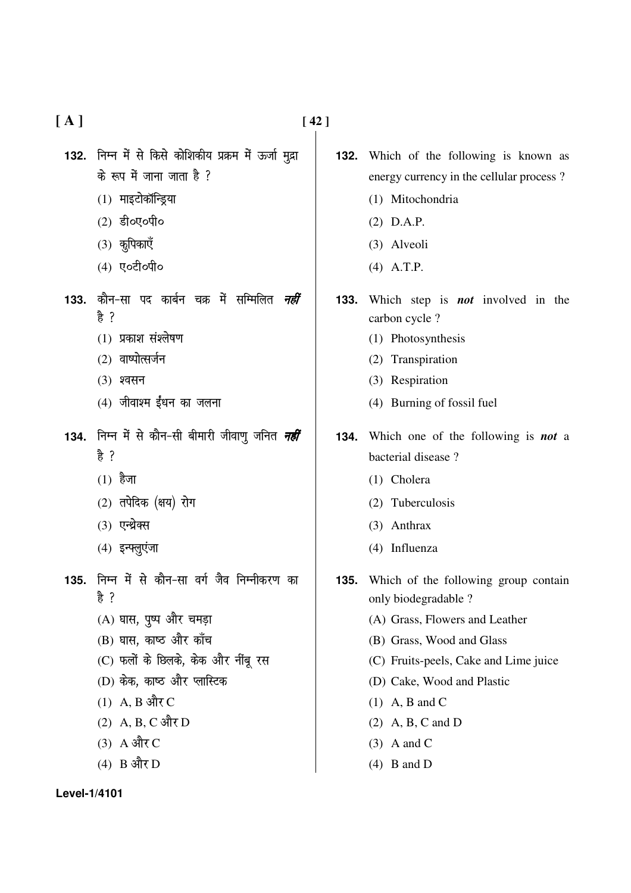| [A] |                                                                                                                                                                                                                                         | [42] |
|-----|-----------------------------------------------------------------------------------------------------------------------------------------------------------------------------------------------------------------------------------------|------|
|     | 132. निम्न में से किसे कोशिकीय प्रक्रम में ऊर्जा मुद्रा<br>के रूप में जाना जाता है ?<br>(1) माइटोकॉन्ड्रिया<br>(2) डी०ए०पी०<br>(3) कुपिकाएँ<br>(4) ए०टी०पी०                                                                             |      |
|     | 133. कौन-सा पद कार्बन चक्र में सम्मिलित <i>नहीं</i><br>हे ?<br>(1) प्रकाश संश्लेषण<br>(2) वाष्पोत्सर्जन<br>(3) श्वसन<br>(4) जीवाश्म ईंधन का जलना                                                                                        |      |
|     | 134.  निम्न में से कौन-सी बीमारी जीवाणु जनित <i>नहीं</i><br>हे ?<br>$(1)$ हैजा<br>(2) तपेदिक (क्षय) रोग<br>(3) एन्थ्रेक्स<br>(4) इन्फ्लुएंजा                                                                                            |      |
|     | 135. निम्न में से कौन-सा वर्ग जैव निम्नीकरण का<br>है ?<br>(A) घास, पुष्प और चमड़ा<br>(B) घास, काष्ठ और काँच<br>(C) फलों के छिलके, केक और नींबू रस<br>(D) केक, काष्ठ और प्लास्टिक<br>$(1)$ A, B और C<br>(2) A, B, C और D<br>$(3)$ A और C |      |

 $(4)$  B और D

- **132.** Which of the following is known as energy currency in the cellular process?
	- (1) Mitochondria
	- $(2)$  D.A.P.
	- (3) Alveoli
	- $(4)$  A.T.P.
- **133.** Which step is **not** involved in the carbon cycle ?
	- (1) Photosynthesis
	- (2) Transpiration
	- (3) Respiration
	- (4) Burning of fossil fuel
- 134. Which one of the following is **not** a bacterial disease?
	- (1) Cholera
	- (2) Tuberculosis
	- (3) Anthrax
	- (4) Influenza
- 135. Which of the following group contain only biodegradable ?
	- (A) Grass, Flowers and Leather
	- (B) Grass, Wood and Glass
	- (C) Fruits-peels, Cake and Lime juice
	- (D) Cake, Wood and Plastic
	- $(1)$  A, B and C
	- $(2)$  A, B, C and D
	- $(3)$  A and C
	- $(4)$  B and D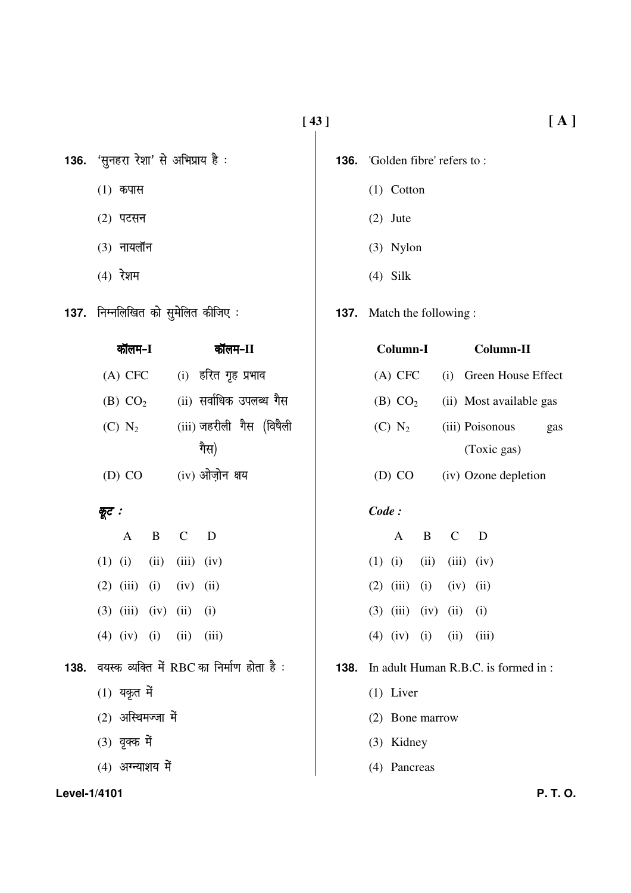- 136. 'सुनहरा रेशा' से अभिप्राय है:
	- $(1)$  कपास
	- $(2)$  पटसन
	- $(3)$  नायलॉन
	- $(4)$  रेशम
- 137. निम्नलिखित को सुमेलित कीजिए:

 $\overline{ }$ 

| બાભમ−1              | कालम−11                  |  |  |  |  |
|---------------------|--------------------------|--|--|--|--|
| $(A)$ CFC           | (i) हरित गृह प्रभाव      |  |  |  |  |
| (B) CO <sub>2</sub> | (ii) सर्वाधिक उपलब्ध गैस |  |  |  |  |
| $(C)$ $N_2$         | (iii) जहरीली गैस (विषैली |  |  |  |  |
|                     | गैस)                     |  |  |  |  |
| $(D)$ CO            | (iv) ओज़ोन क्षय          |  |  |  |  |

### क्रूट :

|  |                                   | A B C D |                                                 |
|--|-----------------------------------|---------|-------------------------------------------------|
|  | $(1)$ $(i)$ $(ii)$ $(iii)$ $(iv)$ |         |                                                 |
|  | $(2)$ $(iii)$ $(i)$ $(iv)$ $(ii)$ |         |                                                 |
|  | $(3)$ $(iii)$ $(iv)$ $(ii)$ $(i)$ |         |                                                 |
|  | $(4)$ $(iv)$ $(i)$ $(ii)$ $(iii)$ |         |                                                 |
|  |                                   |         | 138. वयस्क व्यक्ति में RBC का निर्माण होता है : |
|  | $(1)$ यकृत में                    |         |                                                 |
|  | $(2)$ अस्थिमज्जा में              |         |                                                 |
|  | (3) वृक्क में                     |         |                                                 |
|  |                                   |         |                                                 |

 $(4)$  अग्न्याशय में

- **136.** 'Golden fibre' refers to:
	- $(1)$  Cotton
	- $(2)$  Jute
	- $(3)$  Nylon
	- $(4)$  Silk

### **137.** Match the following:

| Column-I            | Column-II |                         |     |
|---------------------|-----------|-------------------------|-----|
| $(A)$ CFC           |           | (i) Green House Effect  |     |
| (B) CO <sub>2</sub> |           | (ii) Most available gas |     |
| $(C)$ $N_2$         |           | (iii) Poisonous         | gas |
|                     |           | (Toxic gas)             |     |
|                     |           |                         |     |

(iv) Ozone depletion  $(D) CO$ 

#### $Code:$

| A                                 | B | $\mathcal{C}_{\mathcal{C}}$ | Ð |
|-----------------------------------|---|-----------------------------|---|
| $(1)$ $(i)$ $(ii)$ $(iii)$ $(iv)$ |   |                             |   |
| $(2)$ $(iii)$ $(i)$ $(iv)$ $(ii)$ |   |                             |   |
| $(3)$ $(iii)$ $(iv)$ $(ii)$ $(i)$ |   |                             |   |
| $(4)$ $(iv)$ $(i)$ $(ii)$ $(iii)$ |   |                             |   |

## 138. In adult Human R.B.C. is formed in:

- $(1)$  Liver
- (2) Bone marrow
- (3) Kidney
- (4) Pancreas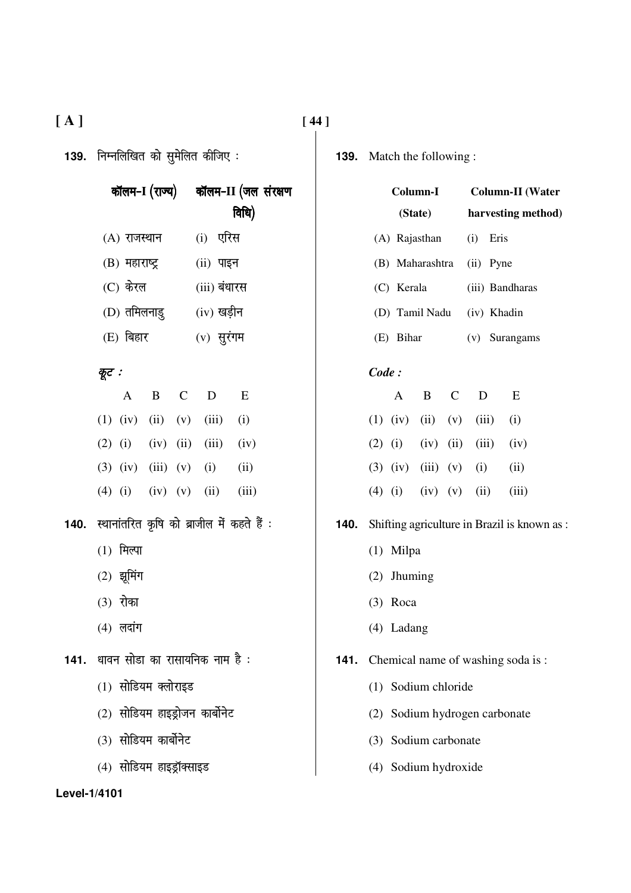| 139. निम्नलिखित को सुमेलित कीजिए : |                                                 |                             |                                             |              |              |                                         |  |  |
|------------------------------------|-------------------------------------------------|-----------------------------|---------------------------------------------|--------------|--------------|-----------------------------------------|--|--|
|                                    |                                                 |                             | कॉलम-I (राज्य) कॉलम-II (जल संरक्षण<br>विधि) |              |              |                                         |  |  |
|                                    |                                                 | (A) राजस्थान       (i) एरिस |                                             |              |              |                                         |  |  |
|                                    |                                                 | (B) महाराष्ट्र (ii) पाइन    |                                             |              |              |                                         |  |  |
|                                    |                                                 | (C) केरल                    |                                             |              | (iii) बंधारस |                                         |  |  |
|                                    |                                                 | (D) तमिलनाडु (iv) खड़ीन     |                                             |              |              |                                         |  |  |
|                                    | $(E)$ बिहार                                     |                             |                                             | $(v)$ सुरंगम |              |                                         |  |  |
|                                    | कूट :                                           |                             |                                             |              |              |                                         |  |  |
|                                    |                                                 |                             |                                             |              |              | A B C D E                               |  |  |
|                                    |                                                 |                             |                                             |              |              | $(1)$ $(iv)$ $(ii)$ $(v)$ $(iii)$ $(i)$ |  |  |
|                                    |                                                 |                             |                                             |              |              | (2) (i) (iv) (ii) (iii) (iv)            |  |  |
|                                    |                                                 |                             |                                             |              |              | (3) (iv) (iii) (v) (i) (ii)             |  |  |
|                                    |                                                 |                             |                                             |              |              | $(4)$ (i) (iv) (v) (ii) (iii)           |  |  |
|                                    | 140. स्थानांतरित कृषि को ब्राजील में कहते हैं : |                             |                                             |              |              |                                         |  |  |
|                                    | $(1)$ मिल्पा                                    |                             |                                             |              |              |                                         |  |  |
|                                    | (2) झूमिंग                                      |                             |                                             |              |              |                                         |  |  |
|                                    | (3) रोका                                        |                             |                                             |              |              |                                         |  |  |
|                                    | (4) लदांग                                       |                             |                                             |              |              |                                         |  |  |
|                                    | 141.  धावन सोडा का रासायनिक नाम है :            |                             |                                             |              |              |                                         |  |  |
|                                    | (1) सोडियम क्लोराइड                             |                             |                                             |              |              |                                         |  |  |
|                                    | (2) सोडियम हाइड्रोजन कार्बोनेट                  |                             |                                             |              |              |                                         |  |  |
|                                    | (3) सोडियम कार्बोनेट                            |                             |                                             |              |              |                                         |  |  |
|                                    | (4) सोडियम हाइड्रॉक्साइड                        |                             |                                             |              |              |                                         |  |  |

**139.** Match the following :

|      | Column-I                                     |            |       | <b>Column-II</b> (Water   |  |  |
|------|----------------------------------------------|------------|-------|---------------------------|--|--|
|      |                                              | (State)    |       | harvesting method)        |  |  |
|      |                                              |            |       | (A) Rajasthan (i) Eris    |  |  |
|      |                                              |            |       | (B) Maharashtra (ii) Pyne |  |  |
|      |                                              | (C) Kerala |       | (iii) Bandharas           |  |  |
|      | (D) Tamil Nadu (iv) Khadin                   |            |       |                           |  |  |
|      | (E) Bihar                                    |            |       | (v) Surangams             |  |  |
|      | Code:                                        |            |       |                           |  |  |
|      | A                                            |            | B C D | E                         |  |  |
|      | $(1)$ $(iv)$ $(ii)$ $(v)$ $(iii)$ $(i)$      |            |       |                           |  |  |
|      | (2) (i) (iv) (ii) (iii) (iv)                 |            |       |                           |  |  |
|      | $(3)$ $(iv)$ $(iii)$ $(v)$ $(i)$ $(ii)$      |            |       |                           |  |  |
|      | $(4)$ (i) (iv) (v) (ii)                      |            |       | (iii)                     |  |  |
| 140. | Shifting agriculture in Brazil is known as : |            |       |                           |  |  |
|      | (1) Milpa                                    |            |       |                           |  |  |
|      | (2) Jhuming                                  |            |       |                           |  |  |
|      | $(3)$ Roca                                   |            |       |                           |  |  |
|      | $(4)$ Ladang                                 |            |       |                           |  |  |
| 141. | Chemical name of washing soda is:            |            |       |                           |  |  |
|      | (1) Sodium chloride                          |            |       |                           |  |  |
|      | (2) Sodium hydrogen carbonate                |            |       |                           |  |  |
|      | (3) Sodium carbonate                         |            |       |                           |  |  |
|      |                                              |            |       |                           |  |  |
|      | (4) Sodium hydroxide                         |            |       |                           |  |  |

**[ A ] [ 44 ]**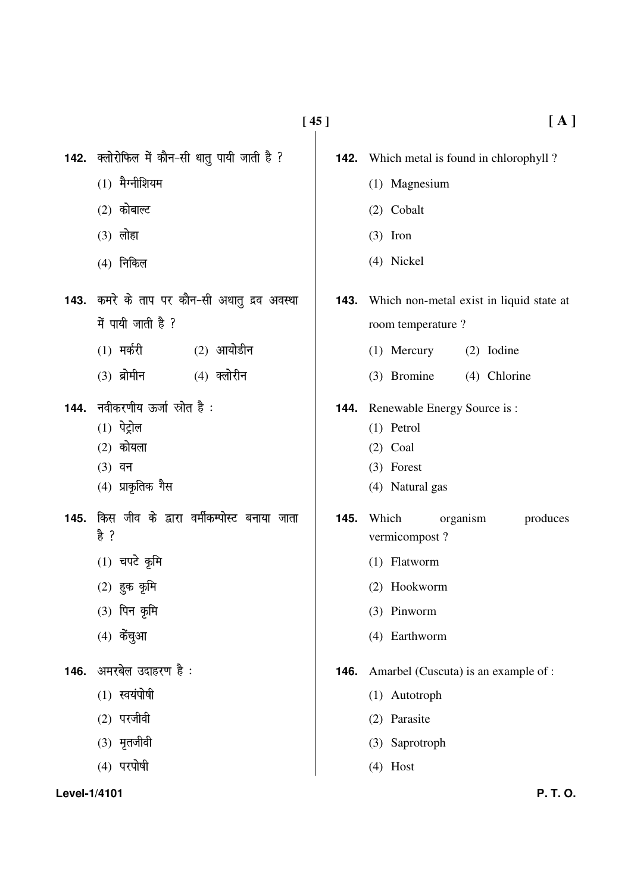- $(1)$  मैग्नीशियम
- $(2)$  कोबाल्ट
- $(3)$  लोहा
- $(4)$  निकिल
- 143. कमरे के ताप पर कौन-सी अधातु द्रव अवस्था  $\vec{H}$  पायी जाती है ?
	- $(1)$  मर्करी  $(2)$  आयोडीन
	- $(3)$  ब्रोमीन  $(4)$  क्लोरीन
- 144. नवीकरणीय ऊर्जा स्रोत है:
	- $(1)$  पेट्रोल
	- $(2)$  कोयला
	- $(3)$  वन
	- $(4)$  प्राकृतिक गैस
- 145. किस जीव के द्वारा वर्मीकम्पोस्ट बनाया जाता 훔 ?
	- $(1)$  चपटे कृमि
	- $(2)$  हुक कृमि
	- (3) पिन कृमि
	- $(4)$  केंचुआ
- 146. अमरबेल उदाहरण है:
	- $(1)$  स्वयंपोषी
	- $(2)$  परजीवी
	- $(3)$  मृतजीवी
	- $(4)$  परपोषी

- **142.** Which metal is found in chlorophyll?
	- (1) Magnesium
	- $(2)$  Cobalt
	- $(3)$  Iron
	- (4) Nickel
- **143.** Which non-metal exist in liquid state at room temperature?
	- (1) Mercury (2) Iodine
	- (3) Bromine (4) Chlorine
- Renewable Energy Source is: 144.
	- $(1)$  Petrol
	- $(2)$  Coal
	- $(3)$  Forest
	- (4) Natural gas
- $145.$ Which organism produces vermicompost?
	- (1) Flatworm
	- (2) Hookworm
	- $(3)$  Pinworm
	- (4) Earthworm
- **146.** Amarbel (Cuscuta) is an example of :
	- (1) Autotroph
	- (2) Parasite
	- (3) Saprotroph
	- $(4)$  Host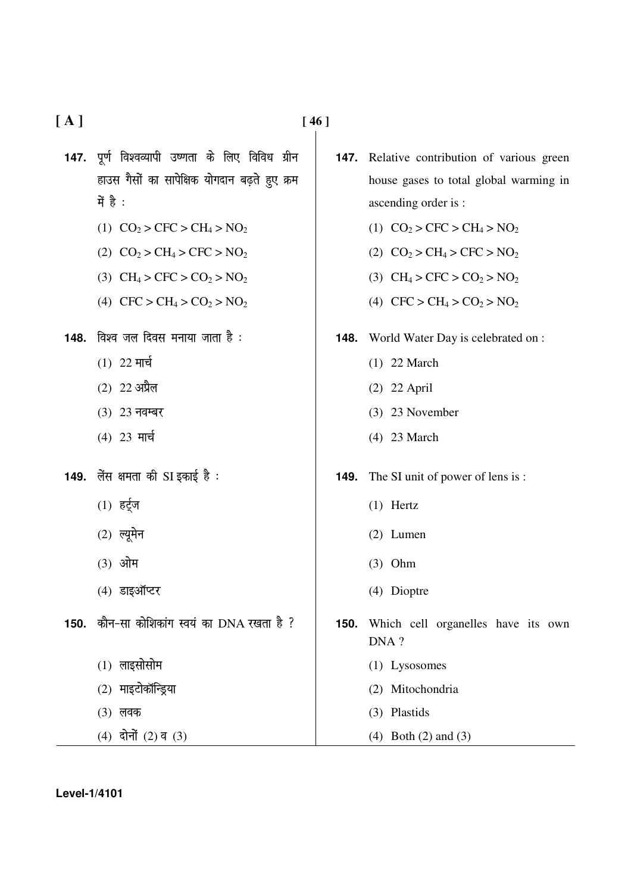$[A]$ 

- 147. पर्ण विश्वव्यापी उष्णता के लिए विविध ग्रीन हाउस गैसों का सापेक्षिक योगदान बढ़ते हुए क्रम में है :
	- (1)  $CO<sub>2</sub> > CFC > CH<sub>4</sub> > NO<sub>2</sub>$
	- (2)  $CO<sub>2</sub> > CH<sub>4</sub> > CFC > NO<sub>2</sub>$
	- (3)  $CH_4 > CFC > CO_2 > NO_2$
	- (4)  $CFC > CH_4 > CO_2 > NO_2$

148. विश्व जल दिवस मनाया जाता है:

- $(1)$  22 मार्च
- $(2)$  22 अप्रैल
- (3) 23 नवम्बर
- (4) 23 मार्च
- 149. लेंस क्षमता की SI इकाई है:
	- $(1)$  हर्टूज
	- $(2)$  ल्यूमेन
	- $(3)$  ओम
	- $(4)$  डाइऑप्टर
- 150. कौन-सा कोशिकांग स्वयं का DNA रखता है ?
	- $(1)$  लाइसोसोम
	- $(2)$  माइटोकॉन्ड्रिया
	- $(3)$  लवक
	- $(4)$  दोनों  $(2)$  व  $(3)$
- Relative contribution of various green 147. house gases to total global warming in ascending order is :
	- (1)  $CO<sub>2</sub> > CFC > CH<sub>4</sub> > NO<sub>2</sub>$
	- (2)  $CO<sub>2</sub> > CH<sub>4</sub> > CFC > NO<sub>2</sub>$
	- (3)  $CH_4 > CFC > CO_2 > NO_2$
	- (4)  $CFC > CH_4 > CO_2 > NO_2$
- World Water Day is celebrated on : 148.
	- $(1)$  22 March
	- $(2)$  22 April
	- $(3)$  23 November
	- $(4)$  23 March
- **149.** The SI unit of power of lens is:
	- $(1)$  Hertz
	- $(2)$  Lumen
	- $(3)$  Ohm
	- (4) Dioptre
- Which cell organelles have its own  $150.$ DNA?
	- (1) Lysosomes
	- (2) Mitochondria
	- (3) Plastids
	- $(4)$  Both  $(2)$  and  $(3)$